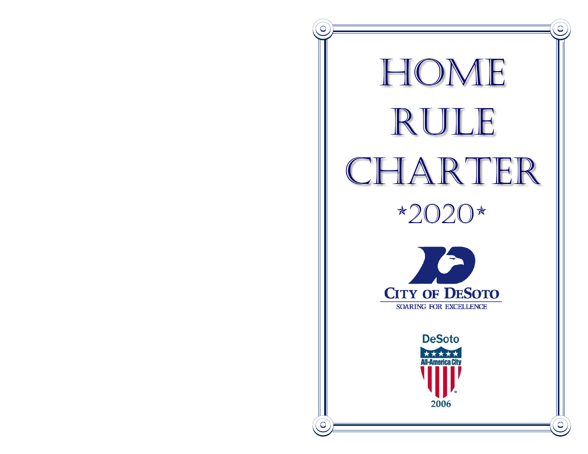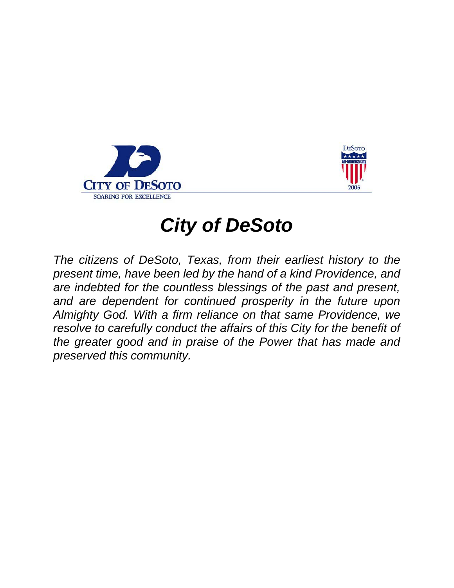



# *City of DeSoto*

*The citizens of DeSoto, Texas, from their earliest history to the present time, have been led by the hand of a kind Providence, and are indebted for the countless blessings of the past and present, and are dependent for continued prosperity in the future upon Almighty God. With a firm reliance on that same Providence, we resolve to carefully conduct the affairs of this City for the benefit of the greater good and in praise of the Power that has made and preserved this community.*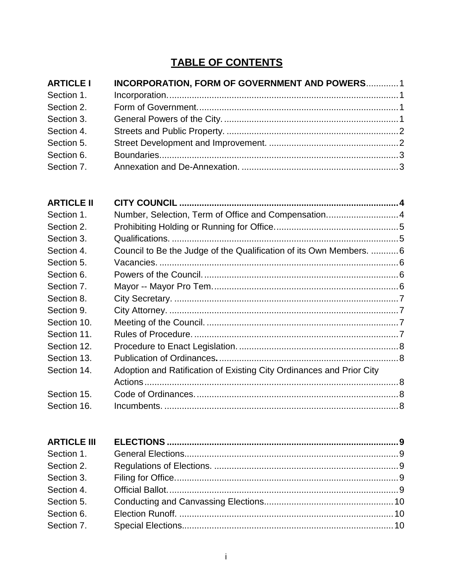# **TABLE OF CONTENTS**

| <b>ARTICLE I</b> | <b>INCORPORATION, FORM OF GOVERNMENT AND POWERS 1</b> |  |
|------------------|-------------------------------------------------------|--|
| Section 1.       |                                                       |  |
| Section 2.       |                                                       |  |
| Section 3.       |                                                       |  |
| Section 4.       |                                                       |  |
| Section 5.       |                                                       |  |
| Section 6.       |                                                       |  |
| Section 7.       |                                                       |  |

| <b>ARTICLE II</b> |                                                                      |  |
|-------------------|----------------------------------------------------------------------|--|
| Section 1.        | Number, Selection, Term of Office and Compensation 4                 |  |
| Section 2.        |                                                                      |  |
| Section 3.        |                                                                      |  |
| Section 4.        | Council to Be the Judge of the Qualification of its Own Members.  6  |  |
| Section 5.        |                                                                      |  |
| Section 6.        |                                                                      |  |
| Section 7.        |                                                                      |  |
| Section 8.        |                                                                      |  |
| Section 9.        |                                                                      |  |
| Section 10.       |                                                                      |  |
| Section 11.       |                                                                      |  |
| Section 12.       |                                                                      |  |
| Section 13.       |                                                                      |  |
| Section 14.       | Adoption and Ratification of Existing City Ordinances and Prior City |  |
|                   |                                                                      |  |
| Section 15.       |                                                                      |  |
| Section 16.       |                                                                      |  |

| <b>ARTICLE III</b> |  |
|--------------------|--|
| Section 1.         |  |
| Section 2.         |  |
| Section 3.         |  |
| Section 4.         |  |
| Section 5.         |  |
| Section 6.         |  |
| Section 7.         |  |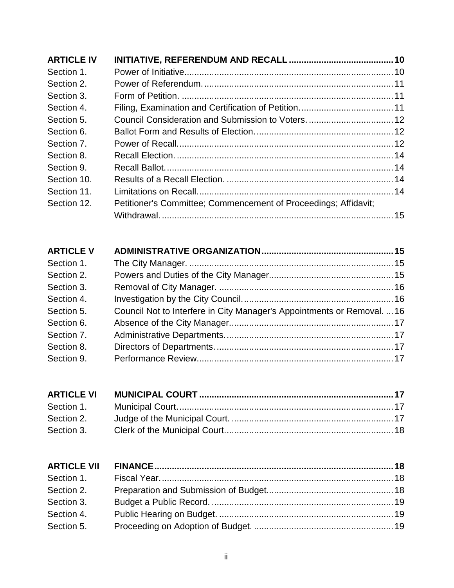| Petitioner's Committee; Commencement of Proceedings; Affidavit; |  |
|-----------------------------------------------------------------|--|
|                                                                 |  |
|                                                                 |  |

| <b>ARTICLE V</b> |                                                                         |  |
|------------------|-------------------------------------------------------------------------|--|
| Section 1.       |                                                                         |  |
| Section 2.       |                                                                         |  |
| Section 3.       |                                                                         |  |
| Section 4.       |                                                                         |  |
| Section 5.       | Council Not to Interfere in City Manager's Appointments or Removal.  16 |  |
| Section 6.       |                                                                         |  |
| Section 7.       |                                                                         |  |
| Section 8.       |                                                                         |  |
| Section 9.       |                                                                         |  |

| Section 2. |  |
|------------|--|
|            |  |

| Section 1. |  |
|------------|--|
| Section 2. |  |
| Section 3. |  |
| Section 4. |  |
| Section 5. |  |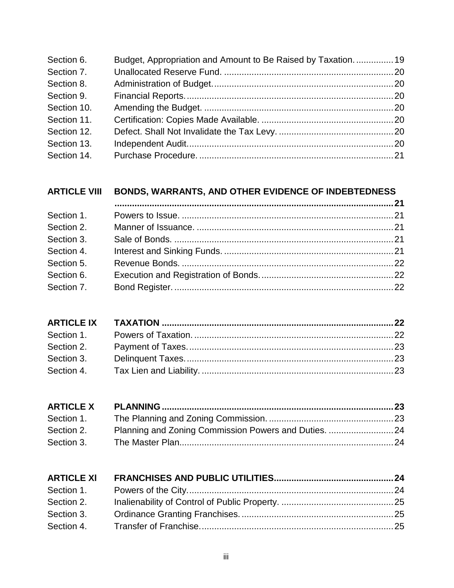| Section 6.  | Budget, Appropriation and Amount to Be Raised by Taxation 19 |  |
|-------------|--------------------------------------------------------------|--|
| Section 7.  |                                                              |  |
| Section 8.  |                                                              |  |
| Section 9.  |                                                              |  |
| Section 10. |                                                              |  |
| Section 11. |                                                              |  |
| Section 12. |                                                              |  |
| Section 13. |                                                              |  |
| Section 14. |                                                              |  |

# **ARTICLE VIII [BONDS, WARRANTS, AND OTHER EVIDENCE OF INDEBTEDNESS](#page-26-1)**

| Section 1. |  |
|------------|--|
| Section 2. |  |
| Section 3. |  |
| Section 4. |  |
| Section 5. |  |
| Section 6. |  |
| Section 7. |  |
|            |  |

| Section 1. |                                                      |  |
|------------|------------------------------------------------------|--|
| Section 2. | Planning and Zoning Commission Powers and Duties. 24 |  |
| Section 3. |                                                      |  |

| <b>ARTICLE XI</b> |  |
|-------------------|--|
| Section 1.        |  |
| Section 2.        |  |
| Section 3.        |  |
|                   |  |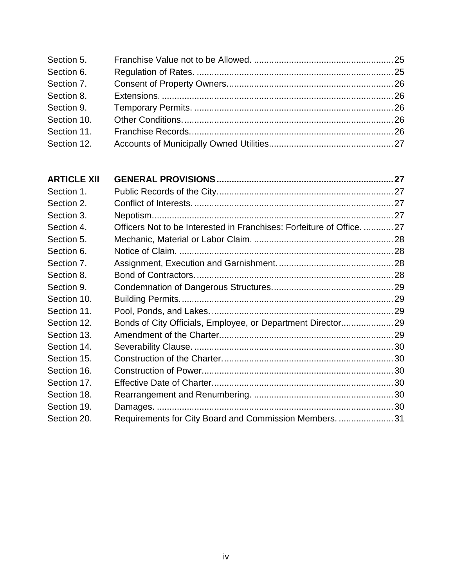| Section 5.  |  |
|-------------|--|
| Section 6.  |  |
| Section 7.  |  |
| Section 8.  |  |
| Section 9.  |  |
| Section 10. |  |
| Section 11. |  |
| Section 12. |  |

| <b>ARTICLE XII</b> |                                                                     |  |
|--------------------|---------------------------------------------------------------------|--|
| Section 1.         |                                                                     |  |
| Section 2.         |                                                                     |  |
| Section 3.         |                                                                     |  |
| Section 4.         | Officers Not to be Interested in Franchises: Forfeiture of Office27 |  |
| Section 5.         |                                                                     |  |
| Section 6.         |                                                                     |  |
| Section 7.         |                                                                     |  |
| Section 8.         |                                                                     |  |
| Section 9.         |                                                                     |  |
| Section 10.        |                                                                     |  |
| Section 11.        |                                                                     |  |
| Section 12.        | Bonds of City Officials, Employee, or Department Director29         |  |
| Section 13.        |                                                                     |  |
| Section 14.        |                                                                     |  |
| Section 15.        |                                                                     |  |
| Section 16.        |                                                                     |  |
| Section 17.        |                                                                     |  |
| Section 18.        |                                                                     |  |
| Section 19.        |                                                                     |  |
| Section 20.        | Requirements for City Board and Commission Members. 31              |  |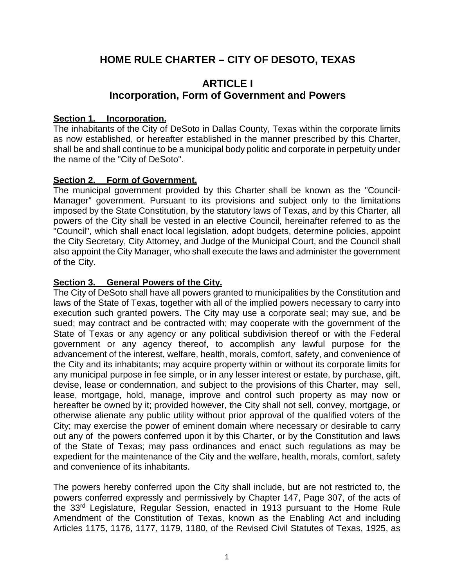# **HOME RULE CHARTER – CITY OF DESOTO, TEXAS**

# **ARTICLE I Incorporation, Form of Government and Powers**

#### <span id="page-6-2"></span><span id="page-6-1"></span><span id="page-6-0"></span>**Section 1. Incorporation.**

The inhabitants of the City of DeSoto in Dallas County, Texas within the corporate limits as now established, or hereafter established in the manner prescribed by this Charter, shall be and shall continue to be a municipal body politic and corporate in perpetuity under the name of the "City of DeSoto".

### <span id="page-6-3"></span>**Section 2. Form of Government.**

The municipal government provided by this Charter shall be known as the "Council-Manager" government. Pursuant to its provisions and subject only to the limitations imposed by the State Constitution, by the statutory laws of Texas, and by this Charter, all powers of the City shall be vested in an elective Council, hereinafter referred to as the "Council", which shall enact local legislation, adopt budgets, determine policies, appoint the City Secretary, City Attorney, and Judge of the Municipal Court, and the Council shall also appoint the City Manager, who shall execute the laws and administer the government of the City.

#### <span id="page-6-4"></span>**Section 3. General Powers of the City.**

The City of DeSoto shall have all powers granted to municipalities by the Constitution and laws of the State of Texas, together with all of the implied powers necessary to carry into execution such granted powers. The City may use a corporate seal; may sue, and be sued; may contract and be contracted with; may cooperate with the government of the State of Texas or any agency or any political subdivision thereof or with the Federal government or any agency thereof, to accomplish any lawful purpose for the advancement of the interest, welfare, health, morals, comfort, safety, and convenience of the City and its inhabitants; may acquire property within or without its corporate limits for any municipal purpose in fee simple, or in any lesser interest or estate, by purchase, gift, devise, lease or condemnation, and subject to the provisions of this Charter, may sell, lease, mortgage, hold, manage, improve and control such property as may now or hereafter be owned by it; provided however, the City shall not sell, convey, mortgage, or otherwise alienate any public utility without prior approval of the qualified voters of the City; may exercise the power of eminent domain where necessary or desirable to carry out any of the powers conferred upon it by this Charter, or by the Constitution and laws of the State of Texas; may pass ordinances and enact such regulations as may be expedient for the maintenance of the City and the welfare, health, morals, comfort, safety and convenience of its inhabitants.

The powers hereby conferred upon the City shall include, but are not restricted to, the powers conferred expressly and permissively by Chapter 147, Page 307, of the acts of the 33rd Legislature, Regular Session, enacted in 1913 pursuant to the Home Rule Amendment of the Constitution of Texas, known as the Enabling Act and including Articles 1175, 1176, 1177, 1179, 1180, of the Revised Civil Statutes of Texas, 1925, as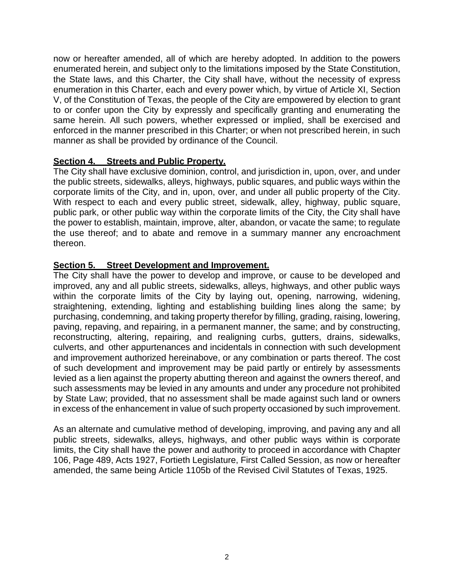now or hereafter amended, all of which are hereby adopted. In addition to the powers enumerated herein, and subject only to the limitations imposed by the State Constitution, the State laws, and this Charter, the City shall have, without the necessity of express enumeration in this Charter, each and every power which, by virtue of Article XI, Section V, of the Constitution of Texas, the people of the City are empowered by election to grant to or confer upon the City by expressly and specifically granting and enumerating the same herein. All such powers, whether expressed or implied, shall be exercised and enforced in the manner prescribed in this Charter; or when not prescribed herein, in such manner as shall be provided by ordinance of the Council.

### <span id="page-7-0"></span>**Section 4. Streets and Public Property.**

The City shall have exclusive dominion, control, and jurisdiction in, upon, over, and under the public streets, sidewalks, alleys, highways, public squares, and public ways within the corporate limits of the City, and in, upon, over, and under all public property of the City. With respect to each and every public street, sidewalk, alley, highway, public square, public park, or other public way within the corporate limits of the City, the City shall have the power to establish, maintain, improve, alter, abandon, or vacate the same; to regulate the use thereof; and to abate and remove in a summary manner any encroachment thereon.

### <span id="page-7-1"></span>**Section 5. Street Development and Improvement.**

The City shall have the power to develop and improve, or cause to be developed and improved, any and all public streets, sidewalks, alleys, highways, and other public ways within the corporate limits of the City by laying out, opening, narrowing, widening, straightening, extending, lighting and establishing building lines along the same; by purchasing, condemning, and taking property therefor by filling, grading, raising, lowering, paving, repaving, and repairing, in a permanent manner, the same; and by constructing, reconstructing, altering, repairing, and realigning curbs, gutters, drains, sidewalks, culverts, and other appurtenances and incidentals in connection with such development and improvement authorized hereinabove, or any combination or parts thereof. The cost of such development and improvement may be paid partly or entirely by assessments levied as a lien against the property abutting thereon and against the owners thereof, and such assessments may be levied in any amounts and under any procedure not prohibited by State Law; provided, that no assessment shall be made against such land or owners in excess of the enhancement in value of such property occasioned by such improvement.

As an alternate and cumulative method of developing, improving, and paving any and all public streets, sidewalks, alleys, highways, and other public ways within is corporate limits, the City shall have the power and authority to proceed in accordance with Chapter 106, Page 489, Acts 1927, Fortieth Legislature, First Called Session, as now or hereafter amended, the same being Article 1105b of the Revised Civil Statutes of Texas, 1925.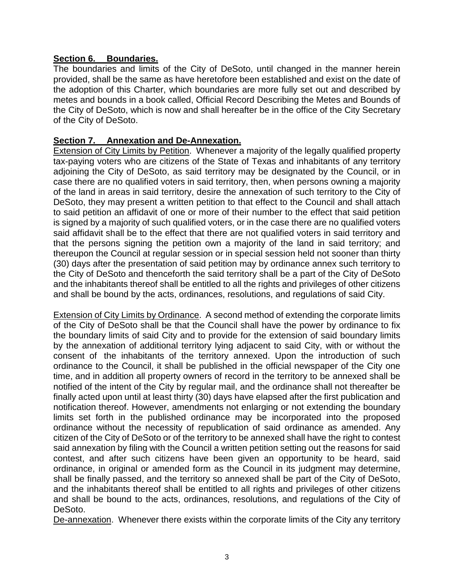### <span id="page-8-0"></span>**Section 6. Boundaries.**

The boundaries and limits of the City of DeSoto, until changed in the manner herein provided, shall be the same as have heretofore been established and exist on the date of the adoption of this Charter, which boundaries are more fully set out and described by metes and bounds in a book called, Official Record Describing the Metes and Bounds of the City of DeSoto, which is now and shall hereafter be in the office of the City Secretary of the City of DeSoto.

### <span id="page-8-1"></span>**Section 7. Annexation and De-Annexation.**

Extension of City Limits by Petition. Whenever a majority of the legally qualified property tax-paying voters who are citizens of the State of Texas and inhabitants of any territory adjoining the City of DeSoto, as said territory may be designated by the Council, or in case there are no qualified voters in said territory, then, when persons owning a majority of the land in areas in said territory, desire the annexation of such territory to the City of DeSoto, they may present a written petition to that effect to the Council and shall attach to said petition an affidavit of one or more of their number to the effect that said petition is signed by a majority of such qualified voters, or in the case there are no qualified voters said affidavit shall be to the effect that there are not qualified voters in said territory and that the persons signing the petition own a majority of the land in said territory; and thereupon the Council at regular session or in special session held not sooner than thirty (30) days after the presentation of said petition may by ordinance annex such territory to the City of DeSoto and thenceforth the said territory shall be a part of the City of DeSoto and the inhabitants thereof shall be entitled to all the rights and privileges of other citizens and shall be bound by the acts, ordinances, resolutions, and regulations of said City.

Extension of City Limits by Ordinance. A second method of extending the corporate limits of the City of DeSoto shall be that the Council shall have the power by ordinance to fix the boundary limits of said City and to provide for the extension of said boundary limits by the annexation of additional territory lying adjacent to said City, with or without the consent of the inhabitants of the territory annexed. Upon the introduction of such ordinance to the Council, it shall be published in the official newspaper of the City one time, and in addition all property owners of record in the territory to be annexed shall be notified of the intent of the City by regular mail, and the ordinance shall not thereafter be finally acted upon until at least thirty (30) days have elapsed after the first publication and notification thereof. However, amendments not enlarging or not extending the boundary limits set forth in the published ordinance may be incorporated into the proposed ordinance without the necessity of republication of said ordinance as amended. Any citizen of the City of DeSoto or of the territory to be annexed shall have the right to contest said annexation by filing with the Council a written petition setting out the reasons for said contest, and after such citizens have been given an opportunity to be heard, said ordinance, in original or amended form as the Council in its judgment may determine, shall be finally passed, and the territory so annexed shall be part of the City of DeSoto, and the inhabitants thereof shall be entitled to all rights and privileges of other citizens and shall be bound to the acts, ordinances, resolutions, and regulations of the City of DeSoto.

De-annexation. Whenever there exists within the corporate limits of the City any territory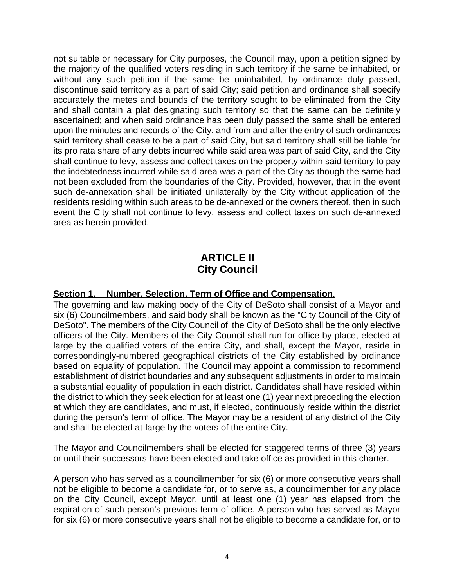not suitable or necessary for City purposes, the Council may, upon a petition signed by the majority of the qualified voters residing in such territory if the same be inhabited, or without any such petition if the same be uninhabited, by ordinance duly passed, discontinue said territory as a part of said City; said petition and ordinance shall specify accurately the metes and bounds of the territory sought to be eliminated from the City and shall contain a plat designating such territory so that the same can be definitely ascertained; and when said ordinance has been duly passed the same shall be entered upon the minutes and records of the City, and from and after the entry of such ordinances said territory shall cease to be a part of said City, but said territory shall still be liable for its pro rata share of any debts incurred while said area was part of said City, and the City shall continue to levy, assess and collect taxes on the property within said territory to pay the indebtedness incurred while said area was a part of the City as though the same had not been excluded from the boundaries of the City. Provided, however, that in the event such de-annexation shall be initiated unilaterally by the City without application of the residents residing within such areas to be de-annexed or the owners thereof, then in such event the City shall not continue to levy, assess and collect taxes on such de-annexed area as herein provided.

# **ARTICLE II City Council**

#### <span id="page-9-1"></span><span id="page-9-0"></span>**Section 1. Number, Selection, Term of Office and Compensation**.

The governing and law making body of the City of DeSoto shall consist of a Mayor and six (6) Councilmembers, and said body shall be known as the "City Council of the City of DeSoto". The members of the City Council of the City of DeSoto shall be the only elective officers of the City. Members of the City Council shall run for office by place, elected at large by the qualified voters of the entire City, and shall, except the Mayor, reside in correspondingly-numbered geographical districts of the City established by ordinance based on equality of population. The Council may appoint a commission to recommend establishment of district boundaries and any subsequent adjustments in order to maintain a substantial equality of population in each district. Candidates shall have resided within the district to which they seek election for at least one (1) year next preceding the election at which they are candidates, and must, if elected, continuously reside within the district during the person's term of office. The Mayor may be a resident of any district of the City and shall be elected at-large by the voters of the entire City.

The Mayor and Councilmembers shall be elected for staggered terms of three (3) years or until their successors have been elected and take office as provided in this charter.

A person who has served as a councilmember for six (6) or more consecutive years shall not be eligible to become a candidate for, or to serve as, a councilmember for any place on the City Council, except Mayor, until at least one (1) year has elapsed from the expiration of such person's previous term of office. A person who has served as Mayor for six (6) or more consecutive years shall not be eligible to become a candidate for, or to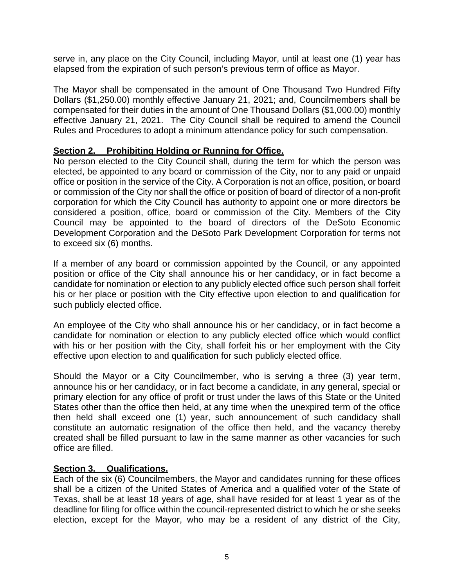serve in, any place on the City Council, including Mayor, until at least one (1) year has elapsed from the expiration of such person's previous term of office as Mayor.

The Mayor shall be compensated in the amount of One Thousand Two Hundred Fifty Dollars (\$1,250.00) monthly effective January 21, 2021; and, Councilmembers shall be compensated for their duties in the amount of One Thousand Dollars (\$1,000.00) monthly effective January 21, 2021. The City Council shall be required to amend the Council Rules and Procedures to adopt a minimum attendance policy for such compensation.

#### <span id="page-10-0"></span>**Section 2. Prohibiting Holding or Running for Office.**

No person elected to the City Council shall, during the term for which the person was elected, be appointed to any board or commission of the City, nor to any paid or unpaid office or position in the service of the City. A Corporation is not an office, position, or board or commission of the City nor shall the office or position of board of director of a non-profit corporation for which the City Council has authority to appoint one or more directors be considered a position, office, board or commission of the City. Members of the City Council may be appointed to the board of directors of the DeSoto Economic Development Corporation and the DeSoto Park Development Corporation for terms not to exceed six (6) months.

If a member of any board or commission appointed by the Council, or any appointed position or office of the City shall announce his or her candidacy, or in fact become a candidate for nomination or election to any publicly elected office such person shall forfeit his or her place or position with the City effective upon election to and qualification for such publicly elected office.

An employee of the City who shall announce his or her candidacy, or in fact become a candidate for nomination or election to any publicly elected office which would conflict with his or her position with the City, shall forfeit his or her employment with the City effective upon election to and qualification for such publicly elected office.

Should the Mayor or a City Councilmember, who is serving a three (3) year term, announce his or her candidacy, or in fact become a candidate, in any general, special or primary election for any office of profit or trust under the laws of this State or the United States other than the office then held, at any time when the unexpired term of the office then held shall exceed one (1) year, such announcement of such candidacy shall constitute an automatic resignation of the office then held, and the vacancy thereby created shall be filled pursuant to law in the same manner as other vacancies for such office are filled.

#### <span id="page-10-1"></span>**Section 3. Qualifications.**

Each of the six (6) Councilmembers, the Mayor and candidates running for these offices shall be a citizen of the United States of America and a qualified voter of the State of Texas, shall be at least 18 years of age, shall have resided for at least 1 year as of the deadline for filing for office within the council-represented district to which he or she seeks election, except for the Mayor, who may be a resident of any district of the City,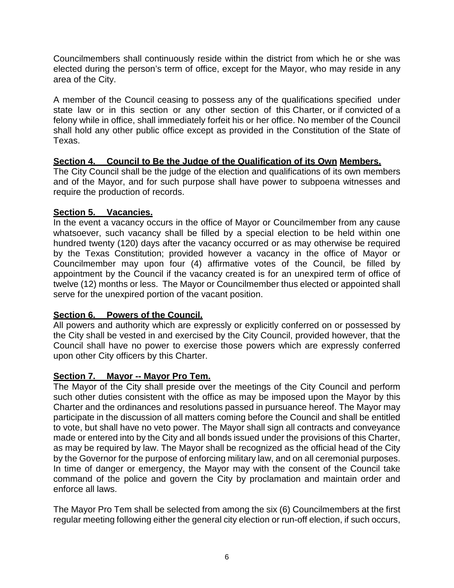Councilmembers shall continuously reside within the district from which he or she was elected during the person's term of office, except for the Mayor, who may reside in any area of the City.

A member of the Council ceasing to possess any of the qualifications specified under state law or in this section or any other section of this Charter, or if convicted of a felony while in office, shall immediately forfeit his or her office. No member of the Council shall hold any other public office except as provided in the Constitution of the State of Texas.

### <span id="page-11-0"></span>**Section 4. Council to Be the Judge of the Qualification of its Own Members.**

The City Council shall be the judge of the election and qualifications of its own members and of the Mayor, and for such purpose shall have power to subpoena witnesses and require the production of records.

### <span id="page-11-1"></span>**Section 5. Vacancies.**

In the event a vacancy occurs in the office of Mayor or Councilmember from any cause whatsoever, such vacancy shall be filled by a special election to be held within one hundred twenty (120) days after the vacancy occurred or as may otherwise be required by the Texas Constitution; provided however a vacancy in the office of Mayor or Councilmember may upon four (4) affirmative votes of the Council, be filled by appointment by the Council if the vacancy created is for an unexpired term of office of twelve (12) months or less. The Mayor or Councilmember thus elected or appointed shall serve for the unexpired portion of the vacant position.

### <span id="page-11-2"></span>**Section 6. Powers of the Council.**

All powers and authority which are expressly or explicitly conferred on or possessed by the City shall be vested in and exercised by the City Council, provided however, that the Council shall have no power to exercise those powers which are expressly conferred upon other City officers by this Charter.

### <span id="page-11-3"></span>**Section 7. Mayor -- Mayor Pro Tem.**

The Mayor of the City shall preside over the meetings of the City Council and perform such other duties consistent with the office as may be imposed upon the Mayor by this Charter and the ordinances and resolutions passed in pursuance hereof. The Mayor may participate in the discussion of all matters coming before the Council and shall be entitled to vote, but shall have no veto power. The Mayor shall sign all contracts and conveyance made or entered into by the City and all bonds issued under the provisions of this Charter, as may be required by law. The Mayor shall be recognized as the official head of the City by the Governor for the purpose of enforcing military law, and on all ceremonial purposes. In time of danger or emergency, the Mayor may with the consent of the Council take command of the police and govern the City by proclamation and maintain order and enforce all laws.

The Mayor Pro Tem shall be selected from among the six (6) Councilmembers at the first regular meeting following either the general city election or run-off election, if such occurs,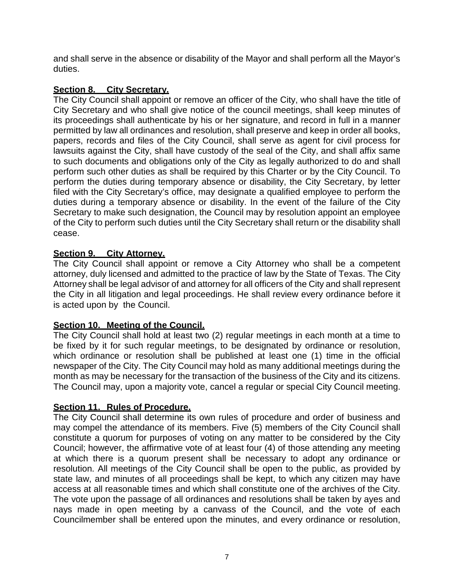and shall serve in the absence or disability of the Mayor and shall perform all the Mayor's duties.

### <span id="page-12-0"></span>**Section 8. City Secretary.**

The City Council shall appoint or remove an officer of the City, who shall have the title of City Secretary and who shall give notice of the council meetings, shall keep minutes of its proceedings shall authenticate by his or her signature, and record in full in a manner permitted by law all ordinances and resolution, shall preserve and keep in order all books, papers, records and files of the City Council, shall serve as agent for civil process for lawsuits against the City, shall have custody of the seal of the City, and shall affix same to such documents and obligations only of the City as legally authorized to do and shall perform such other duties as shall be required by this Charter or by the City Council. To perform the duties during temporary absence or disability, the City Secretary, by letter filed with the City Secretary's office, may designate a qualified employee to perform the duties during a temporary absence or disability. In the event of the failure of the City Secretary to make such designation, the Council may by resolution appoint an employee of the City to perform such duties until the City Secretary shall return or the disability shall cease.

### <span id="page-12-1"></span>**Section 9. City Attorney.**

The City Council shall appoint or remove a City Attorney who shall be a competent attorney, duly licensed and admitted to the practice of law by the State of Texas. The City Attorney shall be legal advisor of and attorney for all officers of the City and shall represent the City in all litigation and legal proceedings. He shall review every ordinance before it is acted upon by the Council.

### <span id="page-12-2"></span>**Section 10. Meeting of the Council.**

The City Council shall hold at least two (2) regular meetings in each month at a time to be fixed by it for such regular meetings, to be designated by ordinance or resolution, which ordinance or resolution shall be published at least one (1) time in the official newspaper of the City. The City Council may hold as many additional meetings during the month as may be necessary for the transaction of the business of the City and its citizens. The Council may, upon a majority vote, cancel a regular or special City Council meeting.

### <span id="page-12-3"></span>**Section 11. Rules of Procedure.**

The City Council shall determine its own rules of procedure and order of business and may compel the attendance of its members. Five (5) members of the City Council shall constitute a quorum for purposes of voting on any matter to be considered by the City Council; however, the affirmative vote of at least four (4) of those attending any meeting at which there is a quorum present shall be necessary to adopt any ordinance or resolution. All meetings of the City Council shall be open to the public, as provided by state law, and minutes of all proceedings shall be kept, to which any citizen may have access at all reasonable times and which shall constitute one of the archives of the City. The vote upon the passage of all ordinances and resolutions shall be taken by ayes and nays made in open meeting by a canvass of the Council, and the vote of each Councilmember shall be entered upon the minutes, and every ordinance or resolution,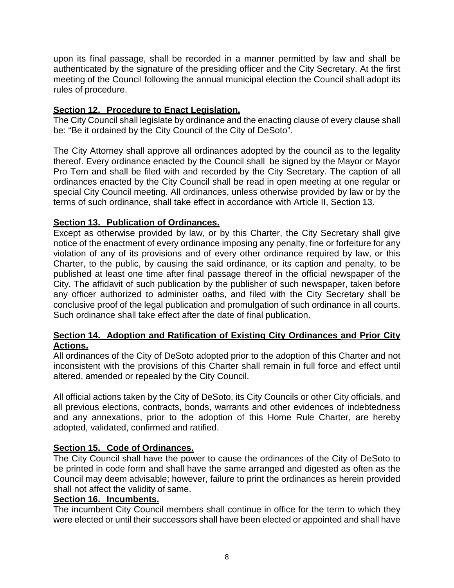upon its final passage, shall be recorded in a manner permitted by law and shall be authenticated by the signature of the presiding officer and the City Secretary. At the first meeting of the Council following the annual municipal election the Council shall adopt its rules of procedure.

### <span id="page-13-0"></span>**Section 12. Procedure to Enact Legislation.**

The City Council shall legislate by ordinance and the enacting clause of every clause shall be: "Be it ordained by the City Council of the City of DeSoto".

The City Attorney shall approve all ordinances adopted by the council as to the legality thereof. Every ordinance enacted by the Council shall be signed by the Mayor or Mayor Pro Tem and shall be filed with and recorded by the City Secretary. The caption of all ordinances enacted by the City Council shall be read in open meeting at one regular or special City Council meeting. All ordinances, unless otherwise provided by law or by the terms of such ordinance, shall take effect in accordance with Article II, Section 13.

### <span id="page-13-1"></span>**Section 13. Publication of Ordinances.**

Except as otherwise provided by law, or by this Charter, the City Secretary shall give notice of the enactment of every ordinance imposing any penalty, fine or forfeiture for any violation of any of its provisions and of every other ordinance required by law, or this Charter, to the public, by causing the said ordinance, or its caption and penalty, to be published at least one time after final passage thereof in the official newspaper of the City. The affidavit of such publication by the publisher of such newspaper, taken before any officer authorized to administer oaths, and filed with the City Secretary shall be conclusive proof of the legal publication and promulgation of such ordinance in all courts. Such ordinance shall take effect after the date of final publication.

#### <span id="page-13-2"></span>**Section 14. Adoption and Ratification of Existing City Ordinances and Prior City Actions.**

All ordinances of the City of DeSoto adopted prior to the adoption of this Charter and not inconsistent with the provisions of this Charter shall remain in full force and effect until altered, amended or repealed by the City Council.

All official actions taken by the City of DeSoto, its City Councils or other City officials, and all previous elections, contracts, bonds, warrants and other evidences of indebtedness and any annexations, prior to the adoption of this Home Rule Charter, are hereby adopted, validated, confirmed and ratified.

#### <span id="page-13-3"></span>**Section 15. Code of Ordinances.**

The City Council shall have the power to cause the ordinances of the City of DeSoto to be printed in code form and shall have the same arranged and digested as often as the Council may deem advisable; however, failure to print the ordinances as herein provided shall not affect the validity of same.

### <span id="page-13-4"></span>**Section 16. Incumbents.**

The incumbent City Council members shall continue in office for the term to which they were elected or until their successors shall have been elected or appointed and shall have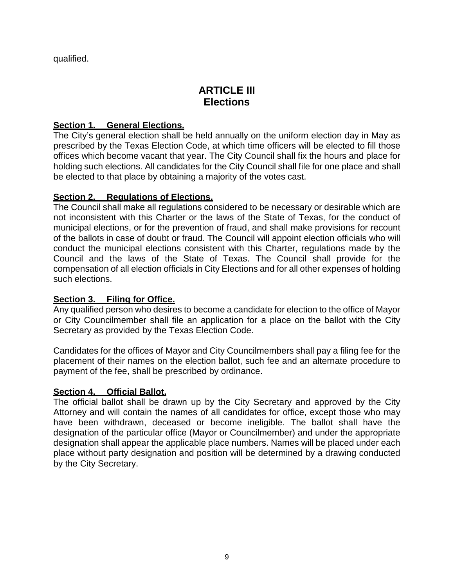<span id="page-14-0"></span>qualified.

## **ARTICLE III Elections**

### <span id="page-14-1"></span>**Section 1. General Elections.**

The City's general election shall be held annually on the uniform election day in May as prescribed by the Texas Election Code, at which time officers will be elected to fill those offices which become vacant that year. The City Council shall fix the hours and place for holding such elections. All candidates for the City Council shall file for one place and shall be elected to that place by obtaining a majority of the votes cast.

### <span id="page-14-2"></span>**Section 2. Regulations of Elections.**

The Council shall make all regulations considered to be necessary or desirable which are not inconsistent with this Charter or the laws of the State of Texas, for the conduct of municipal elections, or for the prevention of fraud, and shall make provisions for recount of the ballots in case of doubt or fraud. The Council will appoint election officials who will conduct the municipal elections consistent with this Charter, regulations made by the Council and the laws of the State of Texas. The Council shall provide for the compensation of all election officials in City Elections and for all other expenses of holding such elections.

### <span id="page-14-3"></span>**Section 3. Filing for Office.**

Any qualified person who desires to become a candidate for election to the office of Mayor or City Councilmember shall file an application for a place on the ballot with the City Secretary as provided by the Texas Election Code.

Candidates for the offices of Mayor and City Councilmembers shall pay a filing fee for the placement of their names on the election ballot, such fee and an alternate procedure to payment of the fee, shall be prescribed by ordinance.

### <span id="page-14-4"></span>**Section 4. Official Ballot.**

The official ballot shall be drawn up by the City Secretary and approved by the City Attorney and will contain the names of all candidates for office, except those who may have been withdrawn, deceased or become ineligible. The ballot shall have the designation of the particular office (Mayor or Councilmember) and under the appropriate designation shall appear the applicable place numbers. Names will be placed under each place without party designation and position will be determined by a drawing conducted by the City Secretary.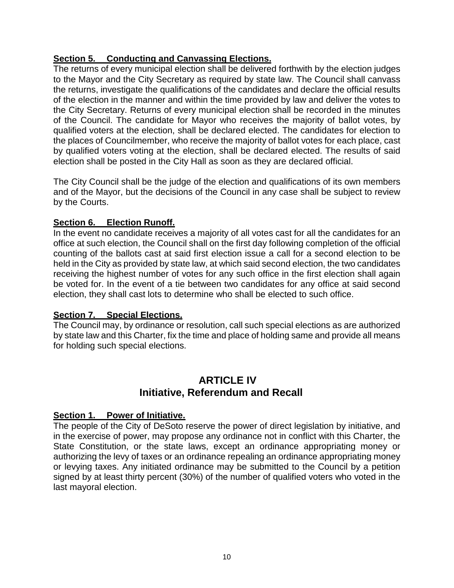### <span id="page-15-0"></span>**Section 5. Conducting and Canvassing Elections.**

The returns of every municipal election shall be delivered forthwith by the election judges to the Mayor and the City Secretary as required by state law. The Council shall canvass the returns, investigate the qualifications of the candidates and declare the official results of the election in the manner and within the time provided by law and deliver the votes to the City Secretary. Returns of every municipal election shall be recorded in the minutes of the Council. The candidate for Mayor who receives the majority of ballot votes, by qualified voters at the election, shall be declared elected. The candidates for election to the places of Councilmember, who receive the majority of ballot votes for each place, cast by qualified voters voting at the election, shall be declared elected. The results of said election shall be posted in the City Hall as soon as they are declared official.

The City Council shall be the judge of the election and qualifications of its own members and of the Mayor, but the decisions of the Council in any case shall be subject to review by the Courts.

### <span id="page-15-1"></span>**Section 6. Election Runoff.**

In the event no candidate receives a majority of all votes cast for all the candidates for an office at such election, the Council shall on the first day following completion of the official counting of the ballots cast at said first election issue a call for a second election to be held in the City as provided by state law, at which said second election, the two candidates receiving the highest number of votes for any such office in the first election shall again be voted for. In the event of a tie between two candidates for any office at said second election, they shall cast lots to determine who shall be elected to such office.

#### <span id="page-15-2"></span>**Section 7. Special Elections.**

The Council may, by ordinance or resolution, call such special elections as are authorized by state law and this Charter, fix the time and place of holding same and provide all means for holding such special elections.

### **ARTICLE IV Initiative, Referendum and Recall**

#### <span id="page-15-4"></span><span id="page-15-3"></span>**Section 1. Power of Initiative.**

The people of the City of DeSoto reserve the power of direct legislation by initiative, and in the exercise of power, may propose any ordinance not in conflict with this Charter, the State Constitution, or the state laws, except an ordinance appropriating money or authorizing the levy of taxes or an ordinance repealing an ordinance appropriating money or levying taxes. Any initiated ordinance may be submitted to the Council by a petition signed by at least thirty percent (30%) of the number of qualified voters who voted in the last mayoral election.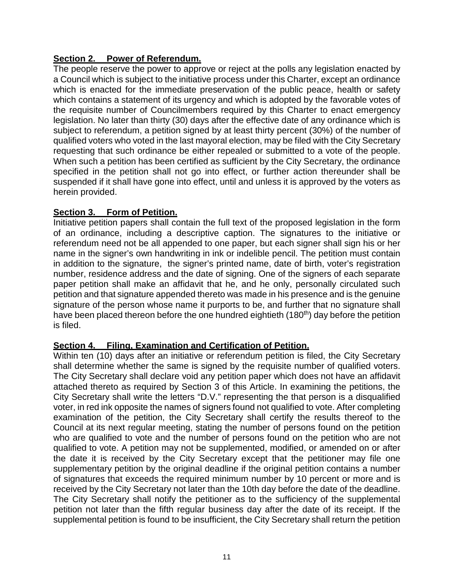### <span id="page-16-0"></span>**Section 2. Power of Referendum.**

The people reserve the power to approve or reject at the polls any legislation enacted by a Council which is subject to the initiative process under this Charter, except an ordinance which is enacted for the immediate preservation of the public peace, health or safety which contains a statement of its urgency and which is adopted by the favorable votes of the requisite number of Councilmembers required by this Charter to enact emergency legislation. No later than thirty (30) days after the effective date of any ordinance which is subject to referendum, a petition signed by at least thirty percent (30%) of the number of qualified voters who voted in the last mayoral election, may be filed with the City Secretary requesting that such ordinance be either repealed or submitted to a vote of the people. When such a petition has been certified as sufficient by the City Secretary, the ordinance specified in the petition shall not go into effect, or further action thereunder shall be suspended if it shall have gone into effect, until and unless it is approved by the voters as herein provided.

#### <span id="page-16-1"></span>**Section 3. Form of Petition.**

Initiative petition papers shall contain the full text of the proposed legislation in the form of an ordinance, including a descriptive caption. The signatures to the initiative or referendum need not be all appended to one paper, but each signer shall sign his or her name in the signer's own handwriting in ink or indelible pencil. The petition must contain in addition to the signature, the signer's printed name, date of birth, voter's registration number, residence address and the date of signing. One of the signers of each separate paper petition shall make an affidavit that he, and he only, personally circulated such petition and that signature appended thereto was made in his presence and is the genuine signature of the person whose name it purports to be, and further that no signature shall have been placed thereon before the one hundred eightieth (180<sup>th</sup>) day before the petition is filed.

### <span id="page-16-2"></span>**Section 4. Filing, Examination and Certification of Petition.**

Within ten (10) days after an initiative or referendum petition is filed, the City Secretary shall determine whether the same is signed by the requisite number of qualified voters. The City Secretary shall declare void any petition paper which does not have an affidavit attached thereto as required by Section 3 of this Article. In examining the petitions, the City Secretary shall write the letters "D.V." representing the that person is a disqualified voter, in red ink opposite the names of signers found not qualified to vote. After completing examination of the petition, the City Secretary shall certify the results thereof to the Council at its next regular meeting, stating the number of persons found on the petition who are qualified to vote and the number of persons found on the petition who are not qualified to vote. A petition may not be supplemented, modified, or amended on or after the date it is received by the City Secretary except that the petitioner may file one supplementary petition by the original deadline if the original petition contains a number of signatures that exceeds the required minimum number by 10 percent or more and is received by the City Secretary not later than the 10th day before the date of the deadline. The City Secretary shall notify the petitioner as to the sufficiency of the supplemental petition not later than the fifth regular business day after the date of its receipt. If the supplemental petition is found to be insufficient, the City Secretary shall return the petition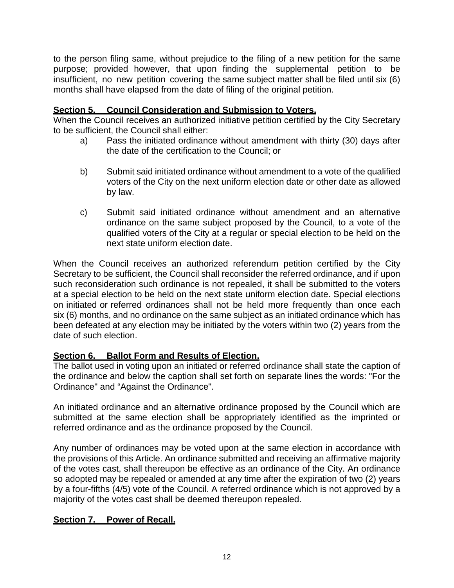to the person filing same, without prejudice to the filing of a new petition for the same purpose; provided however, that upon finding the supplemental petition to be insufficient, no new petition covering the same subject matter shall be filed until six (6) months shall have elapsed from the date of filing of the original petition.

### <span id="page-17-0"></span>**Section 5. Council Consideration and Submission to Voters.**

When the Council receives an authorized initiative petition certified by the City Secretary to be sufficient, the Council shall either:

- a) Pass the initiated ordinance without amendment with thirty (30) days after the date of the certification to the Council; or
- b) Submit said initiated ordinance without amendment to a vote of the qualified voters of the City on the next uniform election date or other date as allowed by law.
- c) Submit said initiated ordinance without amendment and an alternative ordinance on the same subject proposed by the Council, to a vote of the qualified voters of the City at a regular or special election to be held on the next state uniform election date.

When the Council receives an authorized referendum petition certified by the City Secretary to be sufficient, the Council shall reconsider the referred ordinance, and if upon such reconsideration such ordinance is not repealed, it shall be submitted to the voters at a special election to be held on the next state uniform election date. Special elections on initiated or referred ordinances shall not be held more frequently than once each six (6) months, and no ordinance on the same subject as an initiated ordinance which has been defeated at any election may be initiated by the voters within two (2) years from the date of such election.

### <span id="page-17-1"></span>**Section 6. Ballot Form and Results of Election.**

The ballot used in voting upon an initiated or referred ordinance shall state the caption of the ordinance and below the caption shall set forth on separate lines the words: "For the Ordinance" and "Against the Ordinance".

An initiated ordinance and an alternative ordinance proposed by the Council which are submitted at the same election shall be appropriately identified as the imprinted or referred ordinance and as the ordinance proposed by the Council.

Any number of ordinances may be voted upon at the same election in accordance with the provisions of this Article. An ordinance submitted and receiving an affirmative majority of the votes cast, shall thereupon be effective as an ordinance of the City. An ordinance so adopted may be repealed or amended at any time after the expiration of two (2) years by a four-fifths (4/5) vote of the Council. A referred ordinance which is not approved by a majority of the votes cast shall be deemed thereupon repealed.

### <span id="page-17-2"></span>**Section 7. Power of Recall.**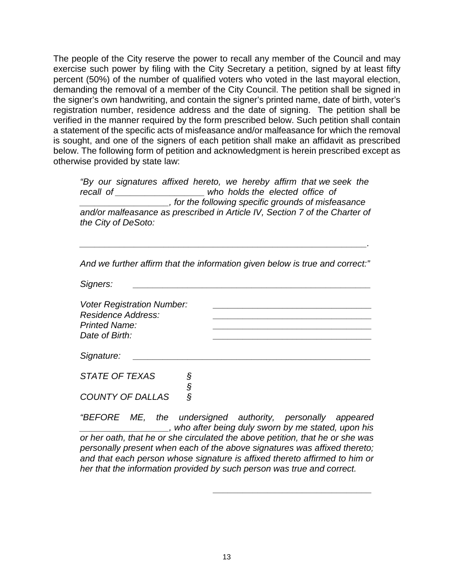The people of the City reserve the power to recall any member of the Council and may exercise such power by filing with the City Secretary a petition, signed by at least fifty percent (50%) of the number of qualified voters who voted in the last mayoral election, demanding the removal of a member of the City Council. The petition shall be signed in the signer's own handwriting, and contain the signer's printed name, date of birth, voter's registration number, residence address and the date of signing. The petition shall be verified in the manner required by the form prescribed below. Such petition shall contain a statement of the specific acts of misfeasance and/or malfeasance for which the removal is sought, and one of the signers of each petition shall make an affidavit as prescribed below. The following form of petition and acknowledgment is herein prescribed except as otherwise provided by state law:

*"By our signatures affixed hereto, we hereby affirm that we seek the recall of \_\_\_\_\_\_\_\_\_\_\_\_\_\_\_\_\_\_ who holds the elected office of \_\_\_\_\_\_\_\_\_\_\_\_\_\_\_\_\_\_, for the following specific grounds of misfeasance and/or malfeasance as prescribed in Article IV, Section 7 of the Charter of the City of DeSoto:*

*And we further affirm that the information given below is true and correct:"*

*\_\_\_\_\_\_\_\_\_\_\_\_\_\_\_\_\_\_\_\_\_\_\_\_\_\_\_\_\_\_\_\_\_\_\_\_\_\_\_\_\_\_\_\_\_\_\_\_\_\_\_\_\_\_\_\_\_\_.*

*Signers: \_\_\_\_\_\_\_\_\_\_\_\_\_\_\_\_\_\_\_\_\_\_\_\_\_\_\_\_\_\_\_\_\_\_\_\_\_\_\_\_\_\_\_\_\_\_\_\_*

*Voter Registration Number: \_\_\_\_\_\_\_\_\_\_\_\_\_\_\_\_\_\_\_\_\_\_\_\_\_\_\_\_\_\_\_\_ Residence Address: \_\_\_\_\_\_\_\_\_\_\_\_\_\_\_\_\_\_\_\_\_\_\_\_\_\_\_\_\_\_\_\_ Printed Name: \_\_\_\_\_\_\_\_\_\_\_\_\_\_\_\_\_\_\_\_\_\_\_\_\_\_\_\_\_\_\_\_ Date of Birth: \_\_\_\_\_\_\_\_\_\_\_\_\_\_\_\_\_\_\_\_\_\_\_\_\_\_\_\_\_\_\_\_*

*Signature: \_\_\_\_\_\_\_\_\_\_\_\_\_\_\_\_\_\_\_\_\_\_\_\_\_\_\_\_\_\_\_\_\_\_\_\_\_\_\_\_\_\_\_\_\_\_\_\_*

*STATE OF TEXAS § § COUNTY OF DALLAS §*

*"BEFORE ME, the undersigned authority, personally appeared \_\_\_\_\_\_\_\_\_\_\_\_\_\_\_\_\_\_, who after being duly sworn by me stated, upon his or her oath, that he or she circulated the above petition, that he or she was personally present when each of the above signatures was affixed thereto; and that each person whose signature is affixed thereto affirmed to him or her that the information provided by such person was true and correct.*

*\_\_\_\_\_\_\_\_\_\_\_\_\_\_\_\_\_\_\_\_\_\_\_\_\_\_\_\_\_\_\_\_*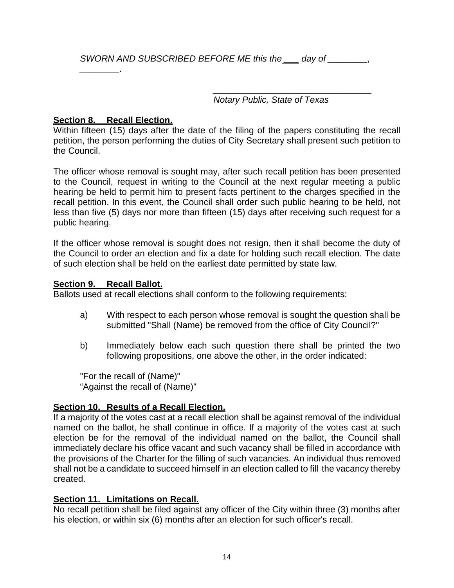*\_\_\_\_\_\_\_\_\_\_\_\_\_\_\_\_\_\_\_\_\_\_\_\_\_\_\_\_\_\_\_\_ Notary Public, State of Texas*

### <span id="page-19-0"></span>**Section 8. Recall Election.**

*\_\_\_\_\_\_\_\_.*

Within fifteen (15) days after the date of the filing of the papers constituting the recall petition, the person performing the duties of City Secretary shall present such petition to the Council.

The officer whose removal is sought may, after such recall petition has been presented to the Council, request in writing to the Council at the next regular meeting a public hearing be held to permit him to present facts pertinent to the charges specified in the recall petition. In this event, the Council shall order such public hearing to be held, not less than five (5) days nor more than fifteen (15) days after receiving such request for a public hearing.

If the officer whose removal is sought does not resign, then it shall become the duty of the Council to order an election and fix a date for holding such recall election. The date of such election shall be held on the earliest date permitted by state law.

#### <span id="page-19-1"></span>**Section 9. Recall Ballot.**

Ballots used at recall elections shall conform to the following requirements:

- a) With respect to each person whose removal is sought the question shall be submitted "Shall (Name) be removed from the office of City Council?"
- b) Immediately below each such question there shall be printed the two following propositions, one above the other, in the order indicated:

"For the recall of (Name)" "Against the recall of (Name)"

### <span id="page-19-2"></span>**Section 10. Results of a Recall Election.**

If a majority of the votes cast at a recall election shall be against removal of the individual named on the ballot, he shall continue in office. If a majority of the votes cast at such election be for the removal of the individual named on the ballot, the Council shall immediately declare his office vacant and such vacancy shall be filled in accordance with the provisions of the Charter for the filling of such vacancies. An individual thus removed shall not be a candidate to succeed himself in an election called to fill the vacancy thereby created.

### <span id="page-19-3"></span>**Section 11. Limitations on Recall.**

No recall petition shall be filed against any officer of the City within three (3) months after his election, or within six (6) months after an election for such officer's recall.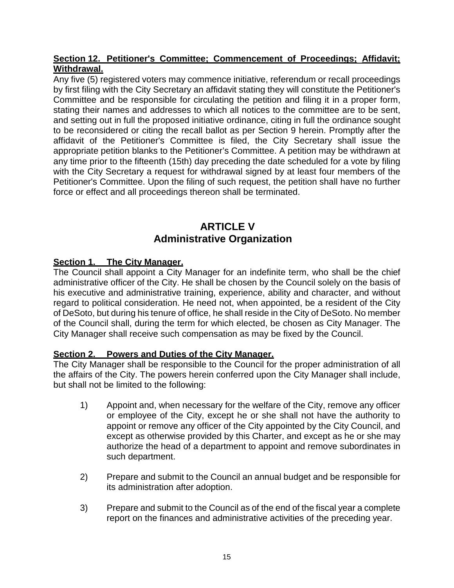### <span id="page-20-0"></span>**Section 12. Petitioner's Committee; Commencement of Proceedings; Affidavit; Withdrawal.**

Any five (5) registered voters may commence initiative, referendum or recall proceedings by first filing with the City Secretary an affidavit stating they will constitute the Petitioner's Committee and be responsible for circulating the petition and filing it in a proper form, stating their names and addresses to which all notices to the committee are to be sent, and setting out in full the proposed initiative ordinance, citing in full the ordinance sought to be reconsidered or citing the recall ballot as per Section 9 herein. Promptly after the affidavit of the Petitioner's Committee is filed, the City Secretary shall issue the appropriate petition blanks to the Petitioner's Committee. A petition may be withdrawn at any time prior to the fifteenth (15th) day preceding the date scheduled for a vote by filing with the City Secretary a request for withdrawal signed by at least four members of the Petitioner's Committee. Upon the filing of such request, the petition shall have no further force or effect and all proceedings thereon shall be terminated.

# **ARTICLE V Administrative Organization**

### <span id="page-20-2"></span><span id="page-20-1"></span>**Section 1. The City Manager.**

The Council shall appoint a City Manager for an indefinite term, who shall be the chief administrative officer of the City. He shall be chosen by the Council solely on the basis of his executive and administrative training, experience, ability and character, and without regard to political consideration. He need not, when appointed, be a resident of the City of DeSoto, but during his tenure of office, he shall reside in the City of DeSoto. No member of the Council shall, during the term for which elected, be chosen as City Manager. The City Manager shall receive such compensation as may be fixed by the Council.

### <span id="page-20-3"></span>**Section 2. Powers and Duties of the City Manager.**

The City Manager shall be responsible to the Council for the proper administration of all the affairs of the City. The powers herein conferred upon the City Manager shall include, but shall not be limited to the following:

- 1) Appoint and, when necessary for the welfare of the City, remove any officer or employee of the City, except he or she shall not have the authority to appoint or remove any officer of the City appointed by the City Council, and except as otherwise provided by this Charter, and except as he or she may authorize the head of a department to appoint and remove subordinates in such department.
- 2) Prepare and submit to the Council an annual budget and be responsible for its administration after adoption.
- 3) Prepare and submit to the Council as of the end of the fiscal year a complete report on the finances and administrative activities of the preceding year.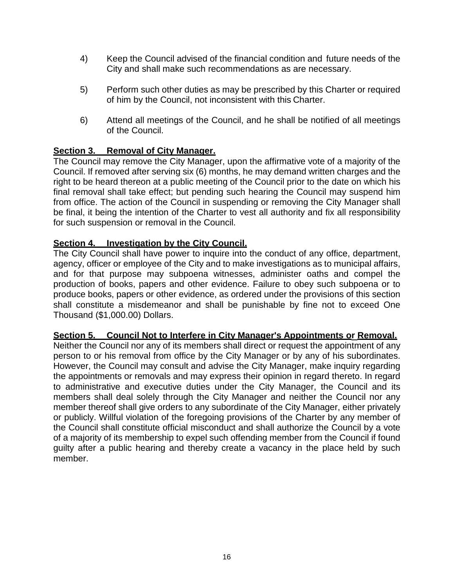- 4) Keep the Council advised of the financial condition and future needs of the City and shall make such recommendations as are necessary.
- 5) Perform such other duties as may be prescribed by this Charter or required of him by the Council, not inconsistent with this Charter.
- 6) Attend all meetings of the Council, and he shall be notified of all meetings of the Council.

### <span id="page-21-0"></span>**Section 3. Removal of City Manager.**

The Council may remove the City Manager, upon the affirmative vote of a majority of the Council. If removed after serving six (6) months, he may demand written charges and the right to be heard thereon at a public meeting of the Council prior to the date on which his final removal shall take effect; but pending such hearing the Council may suspend him from office. The action of the Council in suspending or removing the City Manager shall be final, it being the intention of the Charter to vest all authority and fix all responsibility for such suspension or removal in the Council.

### <span id="page-21-1"></span>**Section 4. Investigation by the City Council.**

The City Council shall have power to inquire into the conduct of any office, department, agency, officer or employee of the City and to make investigations as to municipal affairs, and for that purpose may subpoena witnesses, administer oaths and compel the production of books, papers and other evidence. Failure to obey such subpoena or to produce books, papers or other evidence, as ordered under the provisions of this section shall constitute a misdemeanor and shall be punishable by fine not to exceed One Thousand (\$1,000.00) Dollars.

#### <span id="page-21-2"></span>**Section 5. Council Not to Interfere in City Manager's Appointments or Removal.**

Neither the Council nor any of its members shall direct or request the appointment of any person to or his removal from office by the City Manager or by any of his subordinates. However, the Council may consult and advise the City Manager, make inquiry regarding the appointments or removals and may express their opinion in regard thereto. In regard to administrative and executive duties under the City Manager, the Council and its members shall deal solely through the City Manager and neither the Council nor any member thereof shall give orders to any subordinate of the City Manager, either privately or publicly. Willful violation of the foregoing provisions of the Charter by any member of the Council shall constitute official misconduct and shall authorize the Council by a vote of a majority of its membership to expel such offending member from the Council if found guilty after a public hearing and thereby create a vacancy in the place held by such member.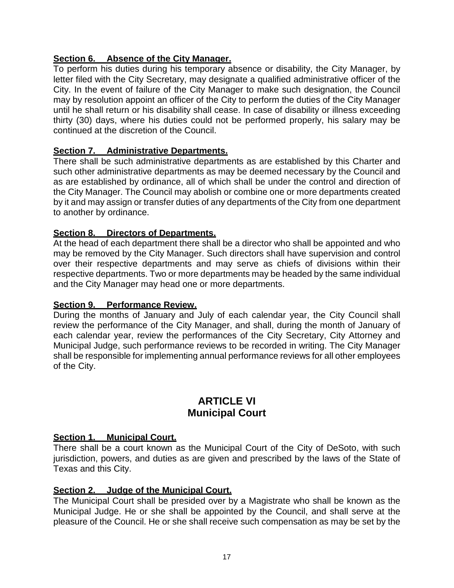### <span id="page-22-0"></span>**Section 6. Absence of the City Manager.**

To perform his duties during his temporary absence or disability, the City Manager, by letter filed with the City Secretary, may designate a qualified administrative officer of the City. In the event of failure of the City Manager to make such designation, the Council may by resolution appoint an officer of the City to perform the duties of the City Manager until he shall return or his disability shall cease. In case of disability or illness exceeding thirty (30) days, where his duties could not be performed properly, his salary may be continued at the discretion of the Council.

### <span id="page-22-1"></span>**Section 7. Administrative Departments.**

There shall be such administrative departments as are established by this Charter and such other administrative departments as may be deemed necessary by the Council and as are established by ordinance, all of which shall be under the control and direction of the City Manager. The Council may abolish or combine one or more departments created by it and may assign or transfer duties of any departments of the City from one department to another by ordinance.

### <span id="page-22-2"></span>**Section 8. Directors of Departments.**

At the head of each department there shall be a director who shall be appointed and who may be removed by the City Manager. Such directors shall have supervision and control over their respective departments and may serve as chiefs of divisions within their respective departments. Two or more departments may be headed by the same individual and the City Manager may head one or more departments.

#### <span id="page-22-3"></span>**Section 9. Performance Review.**

During the months of January and July of each calendar year, the City Council shall review the performance of the City Manager, and shall, during the month of January of each calendar year, review the performances of the City Secretary, City Attorney and Municipal Judge, such performance reviews to be recorded in writing. The City Manager shall be responsible for implementing annual performance reviews for all other employees of the City.

### **ARTICLE VI Municipal Court**

### <span id="page-22-5"></span><span id="page-22-4"></span>**Section 1. Municipal Court.**

There shall be a court known as the Municipal Court of the City of DeSoto, with such jurisdiction, powers, and duties as are given and prescribed by the laws of the State of Texas and this City.

### <span id="page-22-6"></span>**Section 2. Judge of the Municipal Court.**

The Municipal Court shall be presided over by a Magistrate who shall be known as the Municipal Judge. He or she shall be appointed by the Council, and shall serve at the pleasure of the Council. He or she shall receive such compensation as may be set by the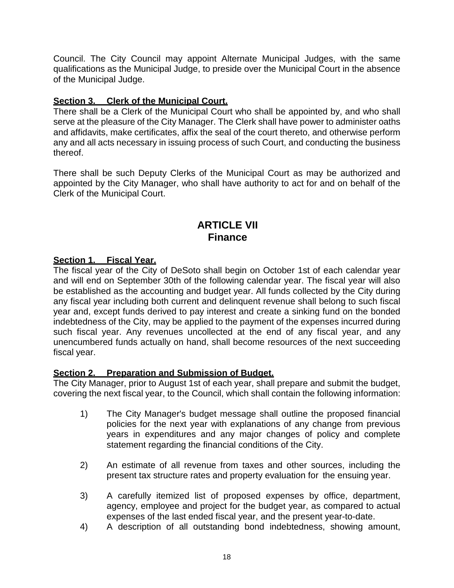Council. The City Council may appoint Alternate Municipal Judges, with the same qualifications as the Municipal Judge, to preside over the Municipal Court in the absence of the Municipal Judge.

### <span id="page-23-0"></span>**Section 3. Clerk of the Municipal Court.**

There shall be a Clerk of the Municipal Court who shall be appointed by, and who shall serve at the pleasure of the City Manager. The Clerk shall have power to administer oaths and affidavits, make certificates, affix the seal of the court thereto, and otherwise perform any and all acts necessary in issuing process of such Court, and conducting the business thereof.

There shall be such Deputy Clerks of the Municipal Court as may be authorized and appointed by the City Manager, who shall have authority to act for and on behalf of the Clerk of the Municipal Court.

### **ARTICLE VII Finance**

### <span id="page-23-2"></span><span id="page-23-1"></span>**Section 1. Fiscal Year.**

The fiscal year of the City of DeSoto shall begin on October 1st of each calendar year and will end on September 30th of the following calendar year. The fiscal year will also be established as the accounting and budget year. All funds collected by the City during any fiscal year including both current and delinquent revenue shall belong to such fiscal year and, except funds derived to pay interest and create a sinking fund on the bonded indebtedness of the City, may be applied to the payment of the expenses incurred during such fiscal year. Any revenues uncollected at the end of any fiscal year, and any unencumbered funds actually on hand, shall become resources of the next succeeding fiscal year.

### <span id="page-23-3"></span>**Section 2. Preparation and Submission of Budget.**

The City Manager, prior to August 1st of each year, shall prepare and submit the budget, covering the next fiscal year, to the Council, which shall contain the following information:

- 1) The City Manager's budget message shall outline the proposed financial policies for the next year with explanations of any change from previous years in expenditures and any major changes of policy and complete statement regarding the financial conditions of the City.
- 2) An estimate of all revenue from taxes and other sources, including the present tax structure rates and property evaluation for the ensuing year.
- 3) A carefully itemized list of proposed expenses by office, department, agency, employee and project for the budget year, as compared to actual expenses of the last ended fiscal year, and the present year-to-date.
- 4) A description of all outstanding bond indebtedness, showing amount,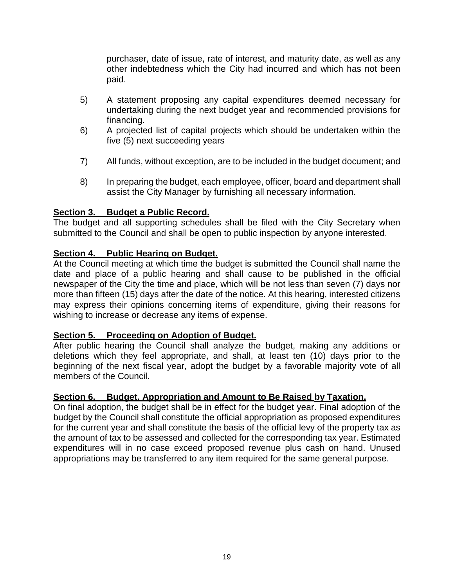purchaser, date of issue, rate of interest, and maturity date, as well as any other indebtedness which the City had incurred and which has not been paid.

- 5) A statement proposing any capital expenditures deemed necessary for undertaking during the next budget year and recommended provisions for financing.
- 6) A projected list of capital projects which should be undertaken within the five (5) next succeeding years
- 7) All funds, without exception, are to be included in the budget document; and
- 8) In preparing the budget, each employee, officer, board and department shall assist the City Manager by furnishing all necessary information.

### <span id="page-24-0"></span>**Section 3. Budget a Public Record.**

The budget and all supporting schedules shall be filed with the City Secretary when submitted to the Council and shall be open to public inspection by anyone interested.

### <span id="page-24-1"></span>**Section 4. Public Hearing on Budget.**

At the Council meeting at which time the budget is submitted the Council shall name the date and place of a public hearing and shall cause to be published in the official newspaper of the City the time and place, which will be not less than seven (7) days nor more than fifteen (15) days after the date of the notice. At this hearing, interested citizens may express their opinions concerning items of expenditure, giving their reasons for wishing to increase or decrease any items of expense.

#### <span id="page-24-2"></span>**Section 5. Proceeding on Adoption of Budget.**

After public hearing the Council shall analyze the budget, making any additions or deletions which they feel appropriate, and shall, at least ten (10) days prior to the beginning of the next fiscal year, adopt the budget by a favorable majority vote of all members of the Council.

#### <span id="page-24-3"></span>**Section 6. Budget, Appropriation and Amount to Be Raised by Taxation.**

On final adoption, the budget shall be in effect for the budget year. Final adoption of the budget by the Council shall constitute the official appropriation as proposed expenditures for the current year and shall constitute the basis of the official levy of the property tax as the amount of tax to be assessed and collected for the corresponding tax year. Estimated expenditures will in no case exceed proposed revenue plus cash on hand. Unused appropriations may be transferred to any item required for the same general purpose.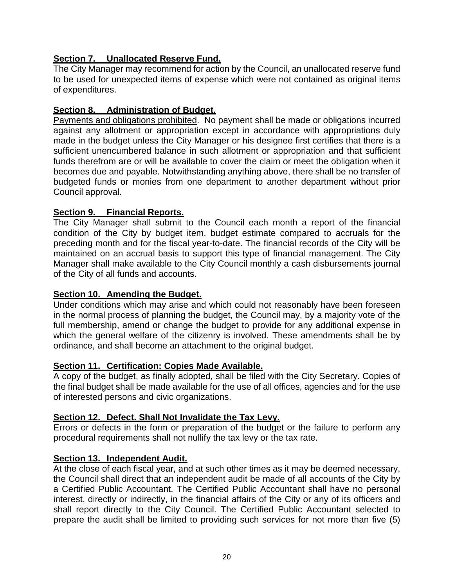### <span id="page-25-0"></span>**Section 7. Unallocated Reserve Fund.**

The City Manager may recommend for action by the Council, an unallocated reserve fund to be used for unexpected items of expense which were not contained as original items of expenditures.

### <span id="page-25-1"></span>**Section 8. Administration of Budget.**

Payments and obligations prohibited. No payment shall be made or obligations incurred against any allotment or appropriation except in accordance with appropriations duly made in the budget unless the City Manager or his designee first certifies that there is a sufficient unencumbered balance in such allotment or appropriation and that sufficient funds therefrom are or will be available to cover the claim or meet the obligation when it becomes due and payable. Notwithstanding anything above, there shall be no transfer of budgeted funds or monies from one department to another department without prior Council approval.

### <span id="page-25-2"></span>**Section 9. Financial Reports.**

The City Manager shall submit to the Council each month a report of the financial condition of the City by budget item, budget estimate compared to accruals for the preceding month and for the fiscal year-to-date. The financial records of the City will be maintained on an accrual basis to support this type of financial management. The City Manager shall make available to the City Council monthly a cash disbursements journal of the City of all funds and accounts.

### <span id="page-25-3"></span>**Section 10. Amending the Budget.**

Under conditions which may arise and which could not reasonably have been foreseen in the normal process of planning the budget, the Council may, by a majority vote of the full membership, amend or change the budget to provide for any additional expense in which the general welfare of the citizenry is involved. These amendments shall be by ordinance, and shall become an attachment to the original budget.

#### <span id="page-25-4"></span>**Section 11. Certification: Copies Made Available.**

A copy of the budget, as finally adopted, shall be filed with the City Secretary. Copies of the final budget shall be made available for the use of all offices, agencies and for the use of interested persons and civic organizations.

#### <span id="page-25-5"></span>**Section 12. Defect. Shall Not Invalidate the Tax Levy.**

Errors or defects in the form or preparation of the budget or the failure to perform any procedural requirements shall not nullify the tax levy or the tax rate.

### <span id="page-25-6"></span>**Section 13. Independent Audit.**

At the close of each fiscal year, and at such other times as it may be deemed necessary, the Council shall direct that an independent audit be made of all accounts of the City by a Certified Public Accountant. The Certified Public Accountant shall have no personal interest, directly or indirectly, in the financial affairs of the City or any of its officers and shall report directly to the City Council. The Certified Public Accountant selected to prepare the audit shall be limited to providing such services for not more than five (5)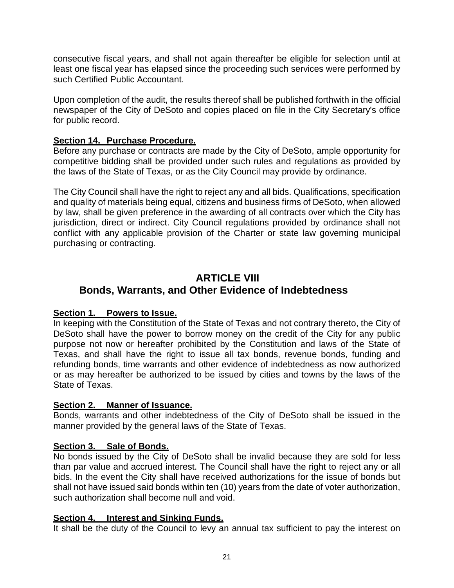consecutive fiscal years, and shall not again thereafter be eligible for selection until at least one fiscal year has elapsed since the proceeding such services were performed by such Certified Public Accountant.

Upon completion of the audit, the results thereof shall be published forthwith in the official newspaper of the City of DeSoto and copies placed on file in the City Secretary's office for public record.

### <span id="page-26-0"></span>**Section 14. Purchase Procedure.**

Before any purchase or contracts are made by the City of DeSoto, ample opportunity for competitive bidding shall be provided under such rules and regulations as provided by the laws of the State of Texas, or as the City Council may provide by ordinance.

The City Council shall have the right to reject any and all bids. Qualifications, specification and quality of materials being equal, citizens and business firms of DeSoto, when allowed by law, shall be given preference in the awarding of all contracts over which the City has jurisdiction, direct or indirect. City Council regulations provided by ordinance shall not conflict with any applicable provision of the Charter or state law governing municipal purchasing or contracting.

# <span id="page-26-1"></span>**ARTICLE VIII Bonds, Warrants, and Other Evidence of Indebtedness**

### <span id="page-26-2"></span>**Section 1. Powers to Issue.**

In keeping with the Constitution of the State of Texas and not contrary thereto, the City of DeSoto shall have the power to borrow money on the credit of the City for any public purpose not now or hereafter prohibited by the Constitution and laws of the State of Texas, and shall have the right to issue all tax bonds, revenue bonds, funding and refunding bonds, time warrants and other evidence of indebtedness as now authorized or as may hereafter be authorized to be issued by cities and towns by the laws of the State of Texas.

### <span id="page-26-3"></span>**Section 2. Manner of Issuance.**

Bonds, warrants and other indebtedness of the City of DeSoto shall be issued in the manner provided by the general laws of the State of Texas.

### <span id="page-26-4"></span>**Section 3. Sale of Bonds.**

No bonds issued by the City of DeSoto shall be invalid because they are sold for less than par value and accrued interest. The Council shall have the right to reject any or all bids. In the event the City shall have received authorizations for the issue of bonds but shall not have issued said bonds within ten (10) years from the date of voter authorization, such authorization shall become null and void.

### <span id="page-26-5"></span>**Section 4. Interest and Sinking Funds.**

It shall be the duty of the Council to levy an annual tax sufficient to pay the interest on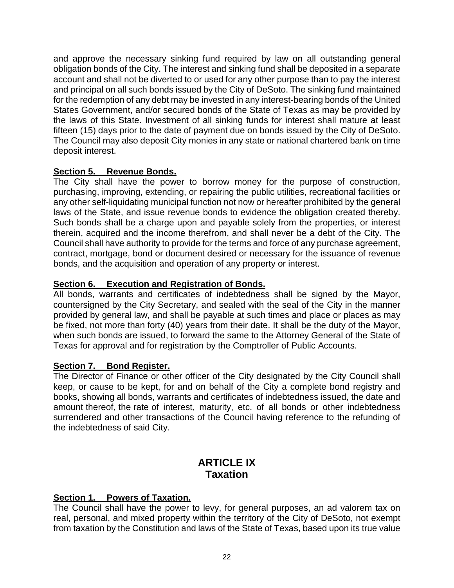and approve the necessary sinking fund required by law on all outstanding general obligation bonds of the City. The interest and sinking fund shall be deposited in a separate account and shall not be diverted to or used for any other purpose than to pay the interest and principal on all such bonds issued by the City of DeSoto. The sinking fund maintained for the redemption of any debt may be invested in any interest-bearing bonds of the United States Government, and/or secured bonds of the State of Texas as may be provided by the laws of this State. Investment of all sinking funds for interest shall mature at least fifteen (15) days prior to the date of payment due on bonds issued by the City of DeSoto. The Council may also deposit City monies in any state or national chartered bank on time deposit interest.

### <span id="page-27-0"></span>**Section 5. Revenue Bonds.**

The City shall have the power to borrow money for the purpose of construction, purchasing, improving, extending, or repairing the public utilities, recreational facilities or any other self-liquidating municipal function not now or hereafter prohibited by the general laws of the State, and issue revenue bonds to evidence the obligation created thereby. Such bonds shall be a charge upon and payable solely from the properties, or interest therein, acquired and the income therefrom, and shall never be a debt of the City. The Council shall have authority to provide for the terms and force of any purchase agreement, contract, mortgage, bond or document desired or necessary for the issuance of revenue bonds, and the acquisition and operation of any property or interest.

### <span id="page-27-1"></span>**Section 6. Execution and Registration of Bonds.**

All bonds, warrants and certificates of indebtedness shall be signed by the Mayor, countersigned by the City Secretary, and sealed with the seal of the City in the manner provided by general law, and shall be payable at such times and place or places as may be fixed, not more than forty (40) years from their date. It shall be the duty of the Mayor, when such bonds are issued, to forward the same to the Attorney General of the State of Texas for approval and for registration by the Comptroller of Public Accounts.

### <span id="page-27-2"></span>**Section 7. Bond Register.**

The Director of Finance or other officer of the City designated by the City Council shall keep, or cause to be kept, for and on behalf of the City a complete bond registry and books, showing all bonds, warrants and certificates of indebtedness issued, the date and amount thereof, the rate of interest, maturity, etc. of all bonds or other indebtedness surrendered and other transactions of the Council having reference to the refunding of the indebtedness of said City.

# **ARTICLE IX Taxation**

### <span id="page-27-4"></span><span id="page-27-3"></span>**Section 1. Powers of Taxation.**

The Council shall have the power to levy, for general purposes, an ad valorem tax on real, personal, and mixed property within the territory of the City of DeSoto, not exempt from taxation by the Constitution and laws of the State of Texas, based upon its true value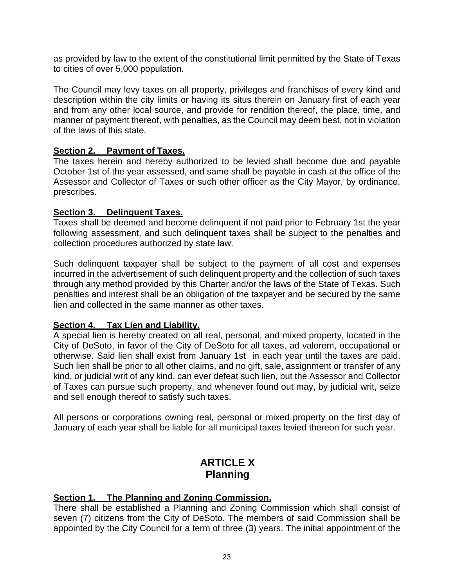as provided by law to the extent of the constitutional limit permitted by the State of Texas to cities of over 5,000 population.

The Council may levy taxes on all property, privileges and franchises of every kind and description within the city limits or having its situs therein on January first of each year and from any other local source, and provide for rendition thereof, the place, time, and manner of payment thereof, with penalties, as the Council may deem best, not in violation of the laws of this state.

#### <span id="page-28-0"></span>**Section 2. Payment of Taxes.**

The taxes herein and hereby authorized to be levied shall become due and payable October 1st of the year assessed, and same shall be payable in cash at the office of the Assessor and Collector of Taxes or such other officer as the City Mayor, by ordinance, prescribes.

#### <span id="page-28-1"></span>**Section 3. Delinquent Taxes.**

Taxes shall be deemed and become delinquent if not paid prior to February 1st the year following assessment, and such delinquent taxes shall be subject to the penalties and collection procedures authorized by state law.

Such delinquent taxpayer shall be subject to the payment of all cost and expenses incurred in the advertisement of such delinquent property and the collection of such taxes through any method provided by this Charter and/or the laws of the State of Texas. Such penalties and interest shall be an obligation of the taxpayer and be secured by the same lien and collected in the same manner as other taxes.

#### <span id="page-28-2"></span>**Section 4. Tax Lien and Liability.**

A special lien is hereby created on all real, personal, and mixed property, located in the City of DeSoto, in favor of the City of DeSoto for all taxes, ad valorem, occupational or otherwise. Said lien shall exist from January 1st in each year until the taxes are paid. Such lien shall be prior to all other claims, and no gift, sale, assignment or transfer of any kind, or judicial writ of any kind, can ever defeat such lien, but the Assessor and Collector of Taxes can pursue such property, and whenever found out may, by judicial writ, seize and sell enough thereof to satisfy such taxes.

All persons or corporations owning real, personal or mixed property on the first day of January of each year shall be liable for all municipal taxes levied thereon for such year.

# **ARTICLE X Planning**

### <span id="page-28-4"></span><span id="page-28-3"></span>**Section 1. The Planning and Zoning Commission.**

There shall be established a Planning and Zoning Commission which shall consist of seven (7) citizens from the City of DeSoto. The members of said Commission shall be appointed by the City Council for a term of three (3) years. The initial appointment of the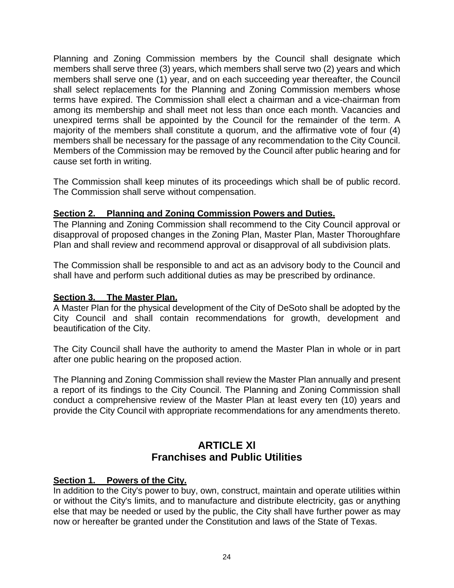Planning and Zoning Commission members by the Council shall designate which members shall serve three (3) years, which members shall serve two (2) years and which members shall serve one (1) year, and on each succeeding year thereafter, the Council shall select replacements for the Planning and Zoning Commission members whose terms have expired. The Commission shall elect a chairman and a vice-chairman from among its membership and shall meet not less than once each month. Vacancies and unexpired terms shall be appointed by the Council for the remainder of the term. A majority of the members shall constitute a quorum, and the affirmative vote of four (4) members shall be necessary for the passage of any recommendation to the City Council. Members of the Commission may be removed by the Council after public hearing and for cause set forth in writing.

The Commission shall keep minutes of its proceedings which shall be of public record. The Commission shall serve without compensation.

### <span id="page-29-0"></span>**Section 2. Planning and Zoning Commission Powers and Duties.**

The Planning and Zoning Commission shall recommend to the City Council approval or disapproval of proposed changes in the Zoning Plan, Master Plan, Master Thoroughfare Plan and shall review and recommend approval or disapproval of all subdivision plats.

The Commission shall be responsible to and act as an advisory body to the Council and shall have and perform such additional duties as may be prescribed by ordinance.

### <span id="page-29-1"></span>**Section 3. The Master Plan.**

A Master Plan for the physical development of the City of DeSoto shall be adopted by the City Council and shall contain recommendations for growth, development and beautification of the City.

The City Council shall have the authority to amend the Master Plan in whole or in part after one public hearing on the proposed action.

The Planning and Zoning Commission shall review the Master Plan annually and present a report of its findings to the City Council. The Planning and Zoning Commission shall conduct a comprehensive review of the Master Plan at least every ten (10) years and provide the City Council with appropriate recommendations for any amendments thereto.

# **ARTICLE Xl Franchises and Public Utilities**

### <span id="page-29-3"></span><span id="page-29-2"></span>**Section 1. Powers of the City.**

In addition to the City's power to buy, own, construct, maintain and operate utilities within or without the City's limits, and to manufacture and distribute electricity, gas or anything else that may be needed or used by the public, the City shall have further power as may now or hereafter be granted under the Constitution and laws of the State of Texas.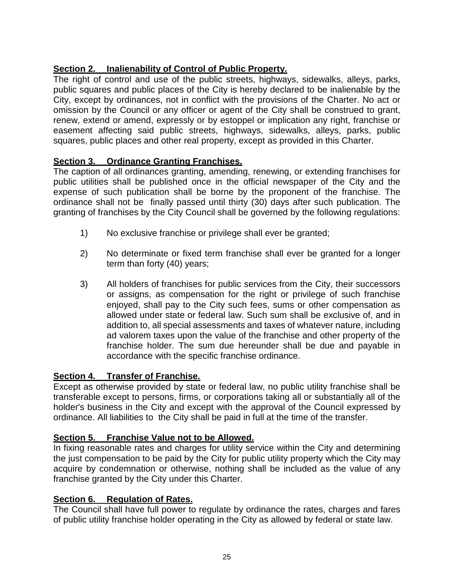### <span id="page-30-0"></span>**Section 2. Inalienability of Control of Public Property.**

The right of control and use of the public streets, highways, sidewalks, alleys, parks, public squares and public places of the City is hereby declared to be inalienable by the City, except by ordinances, not in conflict with the provisions of the Charter. No act or omission by the Council or any officer or agent of the City shall be construed to grant, renew, extend or amend, expressly or by estoppel or implication any right, franchise or easement affecting said public streets, highways, sidewalks, alleys, parks, public squares, public places and other real property, except as provided in this Charter.

### <span id="page-30-1"></span>**Section 3. Ordinance Granting Franchises.**

The caption of all ordinances granting, amending, renewing, or extending franchises for public utilities shall be published once in the official newspaper of the City and the expense of such publication shall be borne by the proponent of the franchise. The ordinance shall not be finally passed until thirty (30) days after such publication. The granting of franchises by the City Council shall be governed by the following regulations:

- 1) No exclusive franchise or privilege shall ever be granted;
- 2) No determinate or fixed term franchise shall ever be granted for a longer term than forty (40) years;
- 3) All holders of franchises for public services from the City, their successors or assigns, as compensation for the right or privilege of such franchise enjoyed, shall pay to the City such fees, sums or other compensation as allowed under state or federal law. Such sum shall be exclusive of, and in addition to, all special assessments and taxes of whatever nature, including ad valorem taxes upon the value of the franchise and other property of the franchise holder. The sum due hereunder shall be due and payable in accordance with the specific franchise ordinance.

### <span id="page-30-2"></span>**Section 4. Transfer of Franchise.**

Except as otherwise provided by state or federal law, no public utility franchise shall be transferable except to persons, firms, or corporations taking all or substantially all of the holder's business in the City and except with the approval of the Council expressed by ordinance. All liabilities to the City shall be paid in full at the time of the transfer.

### <span id="page-30-3"></span>**Section 5. Franchise Value not to be Allowed.**

In fixing reasonable rates and charges for utility service within the City and determining the just compensation to be paid by the City for public utility property which the City may acquire by condemnation or otherwise, nothing shall be included as the value of any franchise granted by the City under this Charter.

### <span id="page-30-4"></span>**Section 6. Regulation of Rates.**

The Council shall have full power to regulate by ordinance the rates, charges and fares of public utility franchise holder operating in the City as allowed by federal or state law.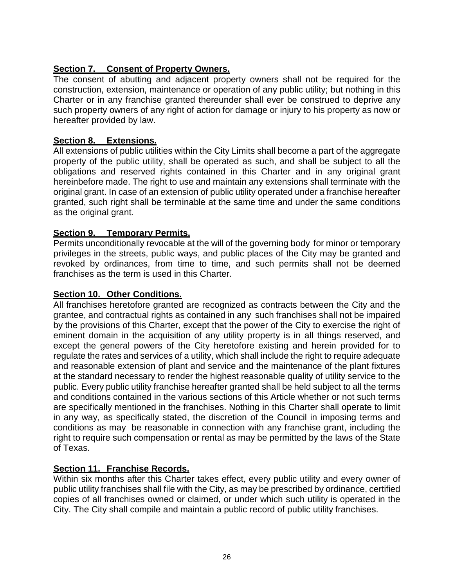### <span id="page-31-0"></span>**Section 7. Consent of Property Owners.**

The consent of abutting and adjacent property owners shall not be required for the construction, extension, maintenance or operation of any public utility; but nothing in this Charter or in any franchise granted thereunder shall ever be construed to deprive any such property owners of any right of action for damage or injury to his property as now or hereafter provided by law.

### <span id="page-31-1"></span>**Section 8. Extensions.**

All extensions of public utilities within the City Limits shall become a part of the aggregate property of the public utility, shall be operated as such, and shall be subject to all the obligations and reserved rights contained in this Charter and in any original grant hereinbefore made. The right to use and maintain any extensions shall terminate with the original grant. In case of an extension of public utility operated under a franchise hereafter granted, such right shall be terminable at the same time and under the same conditions as the original grant.

### <span id="page-31-2"></span>**Section 9. Temporary Permits.**

Permits unconditionally revocable at the will of the governing body for minor or temporary privileges in the streets, public ways, and public places of the City may be granted and revoked by ordinances, from time to time, and such permits shall not be deemed franchises as the term is used in this Charter.

#### <span id="page-31-3"></span>**Section 10. Other Conditions.**

All franchises heretofore granted are recognized as contracts between the City and the grantee, and contractual rights as contained in any such franchises shall not be impaired by the provisions of this Charter, except that the power of the City to exercise the right of eminent domain in the acquisition of any utility property is in all things reserved, and except the general powers of the City heretofore existing and herein provided for to regulate the rates and services of a utility, which shall include the right to require adequate and reasonable extension of plant and service and the maintenance of the plant fixtures at the standard necessary to render the highest reasonable quality of utility service to the public. Every public utility franchise hereafter granted shall be held subject to all the terms and conditions contained in the various sections of this Article whether or not such terms are specifically mentioned in the franchises. Nothing in this Charter shall operate to limit in any way, as specifically stated, the discretion of the Council in imposing terms and conditions as may be reasonable in connection with any franchise grant, including the right to require such compensation or rental as may be permitted by the laws of the State of Texas.

#### <span id="page-31-4"></span>**Section 11. Franchise Records.**

Within six months after this Charter takes effect, every public utility and every owner of public utility franchises shall file with the City, as may be prescribed by ordinance, certified copies of all franchises owned or claimed, or under which such utility is operated in the City. The City shall compile and maintain a public record of public utility franchises.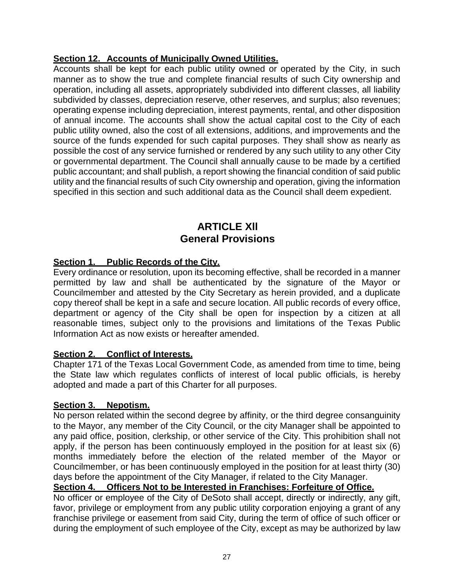### <span id="page-32-0"></span>**Section 12. Accounts of Municipally Owned Utilities.**

Accounts shall be kept for each public utility owned or operated by the City, in such manner as to show the true and complete financial results of such City ownership and operation, including all assets, appropriately subdivided into different classes, all liability subdivided by classes, depreciation reserve, other reserves, and surplus; also revenues; operating expense including depreciation, interest payments, rental, and other disposition of annual income. The accounts shall show the actual capital cost to the City of each public utility owned, also the cost of all extensions, additions, and improvements and the source of the funds expended for such capital purposes. They shall show as nearly as possible the cost of any service furnished or rendered by any such utility to any other City or governmental department. The Council shall annually cause to be made by a certified public accountant; and shall publish, a report showing the financial condition of said public utility and the financial results of such City ownership and operation, giving the information specified in this section and such additional data as the Council shall deem expedient.

### **ARTICLE Xll General Provisions**

### <span id="page-32-2"></span><span id="page-32-1"></span>**Section 1. Public Records of the City.**

Every ordinance or resolution, upon its becoming effective, shall be recorded in a manner permitted by law and shall be authenticated by the signature of the Mayor or Councilmember and attested by the City Secretary as herein provided, and a duplicate copy thereof shall be kept in a safe and secure location. All public records of every office, department or agency of the City shall be open for inspection by a citizen at all reasonable times, subject only to the provisions and limitations of the Texas Public Information Act as now exists or hereafter amended.

#### <span id="page-32-3"></span>**Section 2. Conflict of Interests.**

Chapter 171 of the Texas Local Government Code, as amended from time to time, being the State law which regulates conflicts of interest of local public officials, is hereby adopted and made a part of this Charter for all purposes.

#### <span id="page-32-4"></span>**Section 3. Nepotism.**

No person related within the second degree by affinity, or the third degree consanguinity to the Mayor, any member of the City Council, or the city Manager shall be appointed to any paid office, position, clerkship, or other service of the City. This prohibition shall not apply, if the person has been continuously employed in the position for at least six (6) months immediately before the election of the related member of the Mayor or Councilmember, or has been continuously employed in the position for at least thirty (30) days before the appointment of the City Manager, if related to the City Manager.

#### <span id="page-32-5"></span>**Section 4. Officers Not to be Interested in Franchises: Forfeiture of Office.**

No officer or employee of the City of DeSoto shall accept, directly or indirectly, any gift, favor, privilege or employment from any public utility corporation enjoying a grant of any franchise privilege or easement from said City, during the term of office of such officer or during the employment of such employee of the City, except as may be authorized by law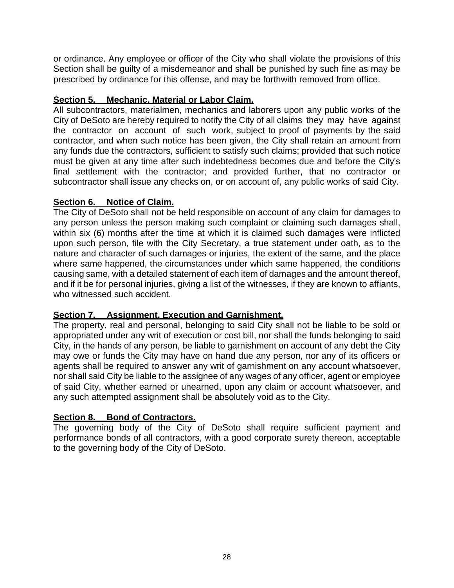or ordinance. Any employee or officer of the City who shall violate the provisions of this Section shall be guilty of a misdemeanor and shall be punished by such fine as may be prescribed by ordinance for this offense, and may be forthwith removed from office.

### <span id="page-33-0"></span>**Section 5. Mechanic, Material or Labor Claim.**

All subcontractors, materialmen, mechanics and laborers upon any public works of the City of DeSoto are hereby required to notify the City of all claims they may have against the contractor on account of such work, subject to proof of payments by the said contractor, and when such notice has been given, the City shall retain an amount from any funds due the contractors, sufficient to satisfy such claims; provided that such notice must be given at any time after such indebtedness becomes due and before the City's final settlement with the contractor; and provided further, that no contractor or subcontractor shall issue any checks on, or on account of, any public works of said City.

### <span id="page-33-1"></span>**Section 6. Notice of Claim.**

The City of DeSoto shall not be held responsible on account of any claim for damages to any person unless the person making such complaint or claiming such damages shall, within six (6) months after the time at which it is claimed such damages were inflicted upon such person, file with the City Secretary, a true statement under oath, as to the nature and character of such damages or injuries, the extent of the same, and the place where same happened, the circumstances under which same happened, the conditions causing same, with a detailed statement of each item of damages and the amount thereof, and if it be for personal injuries, giving a list of the witnesses, if they are known to affiants, who witnessed such accident.

### <span id="page-33-2"></span>**Section 7. Assignment, Execution and Garnishment.**

The property, real and personal, belonging to said City shall not be liable to be sold or appropriated under any writ of execution or cost bill, nor shall the funds belonging to said City, in the hands of any person, be liable to garnishment on account of any debt the City may owe or funds the City may have on hand due any person, nor any of its officers or agents shall be required to answer any writ of garnishment on any account whatsoever, nor shall said City be liable to the assignee of any wages of any officer, agent or employee of said City, whether earned or unearned, upon any claim or account whatsoever, and any such attempted assignment shall be absolutely void as to the City.

### <span id="page-33-3"></span>**Section 8. Bond of Contractors.**

The governing body of the City of DeSoto shall require sufficient payment and performance bonds of all contractors, with a good corporate surety thereon, acceptable to the governing body of the City of DeSoto.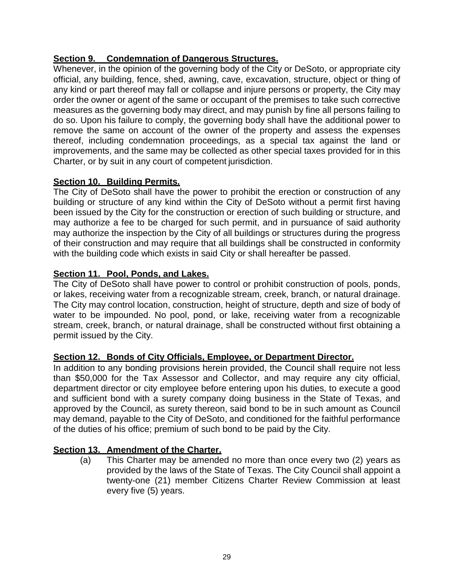### <span id="page-34-0"></span>**Section 9. Condemnation of Dangerous Structures.**

Whenever, in the opinion of the governing body of the City or DeSoto, or appropriate city official, any building, fence, shed, awning, cave, excavation, structure, object or thing of any kind or part thereof may fall or collapse and injure persons or property, the City may order the owner or agent of the same or occupant of the premises to take such corrective measures as the governing body may direct, and may punish by fine all persons failing to do so. Upon his failure to comply, the governing body shall have the additional power to remove the same on account of the owner of the property and assess the expenses thereof, including condemnation proceedings, as a special tax against the land or improvements, and the same may be collected as other special taxes provided for in this Charter, or by suit in any court of competent jurisdiction.

### <span id="page-34-1"></span>**Section 10. Building Permits.**

The City of DeSoto shall have the power to prohibit the erection or construction of any building or structure of any kind within the City of DeSoto without a permit first having been issued by the City for the construction or erection of such building or structure, and may authorize a fee to be charged for such permit, and in pursuance of said authority may authorize the inspection by the City of all buildings or structures during the progress of their construction and may require that all buildings shall be constructed in conformity with the building code which exists in said City or shall hereafter be passed.

### <span id="page-34-2"></span>**Section 11. Pool, Ponds, and Lakes.**

The City of DeSoto shall have power to control or prohibit construction of pools, ponds, or lakes, receiving water from a recognizable stream, creek, branch, or natural drainage. The City may control location, construction, height of structure, depth and size of body of water to be impounded. No pool, pond, or lake, receiving water from a recognizable stream, creek, branch, or natural drainage, shall be constructed without first obtaining a permit issued by the City.

### <span id="page-34-3"></span>**Section 12. Bonds of City Officials, Employee, or Department Director.**

In addition to any bonding provisions herein provided, the Council shall require not less than \$50,000 for the Tax Assessor and Collector, and may require any city official, department director or city employee before entering upon his duties, to execute a good and sufficient bond with a surety company doing business in the State of Texas, and approved by the Council, as surety thereon, said bond to be in such amount as Council may demand, payable to the City of DeSoto, and conditioned for the faithful performance of the duties of his office; premium of such bond to be paid by the City.

### <span id="page-34-4"></span>**Section 13. Amendment of the Charter.**

(a) This Charter may be amended no more than once every two (2) years as provided by the laws of the State of Texas. The City Council shall appoint a twenty-one (21) member Citizens Charter Review Commission at least every five (5) years.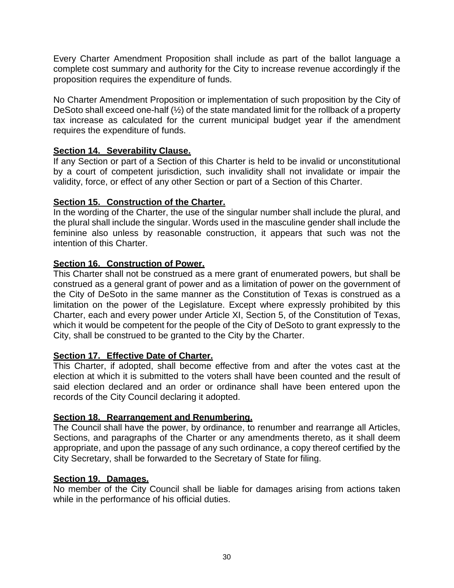Every Charter Amendment Proposition shall include as part of the ballot language a complete cost summary and authority for the City to increase revenue accordingly if the proposition requires the expenditure of funds.

No Charter Amendment Proposition or implementation of such proposition by the City of DeSoto shall exceed one-half (½) of the state mandated limit for the rollback of a property tax increase as calculated for the current municipal budget year if the amendment requires the expenditure of funds.

### <span id="page-35-0"></span>**Section 14. Severability Clause.**

If any Section or part of a Section of this Charter is held to be invalid or unconstitutional by a court of competent jurisdiction, such invalidity shall not invalidate or impair the validity, force, or effect of any other Section or part of a Section of this Charter.

### <span id="page-35-1"></span>**Section 15. Construction of the Charter.**

In the wording of the Charter, the use of the singular number shall include the plural, and the plural shall include the singular. Words used in the masculine gender shall include the feminine also unless by reasonable construction, it appears that such was not the intention of this Charter.

### <span id="page-35-2"></span>**Section 16. Construction of Power.**

This Charter shall not be construed as a mere grant of enumerated powers, but shall be construed as a general grant of power and as a limitation of power on the government of the City of DeSoto in the same manner as the Constitution of Texas is construed as a limitation on the power of the Legislature. Except where expressly prohibited by this Charter, each and every power under Article XI, Section 5, of the Constitution of Texas, which it would be competent for the people of the City of DeSoto to grant expressly to the City, shall be construed to be granted to the City by the Charter.

# <span id="page-35-3"></span>**Section 17. Effective Date of Charter.**

This Charter, if adopted, shall become effective from and after the votes cast at the election at which it is submitted to the voters shall have been counted and the result of said election declared and an order or ordinance shall have been entered upon the records of the City Council declaring it adopted.

#### <span id="page-35-4"></span>**Section 18. Rearrangement and Renumbering.**

The Council shall have the power, by ordinance, to renumber and rearrange all Articles, Sections, and paragraphs of the Charter or any amendments thereto, as it shall deem appropriate, and upon the passage of any such ordinance, a copy thereof certified by the City Secretary, shall be forwarded to the Secretary of State for filing.

#### <span id="page-35-5"></span>**Section 19. Damages.**

No member of the City Council shall be liable for damages arising from actions taken while in the performance of his official duties.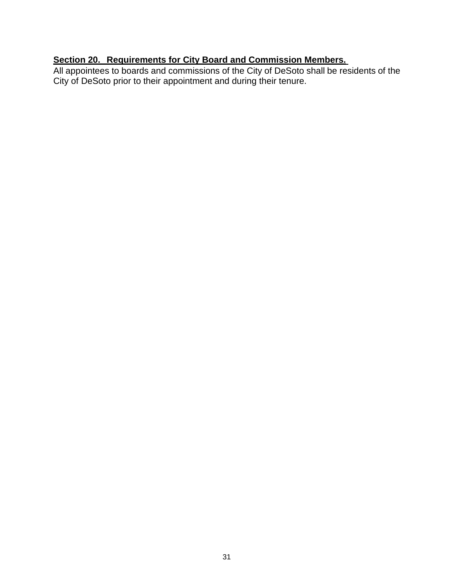### <span id="page-36-0"></span>**Section 20. Requirements for City Board and Commission Members.**

All appointees to boards and commissions of the City of DeSoto shall be residents of the City of DeSoto prior to their appointment and during their tenure.